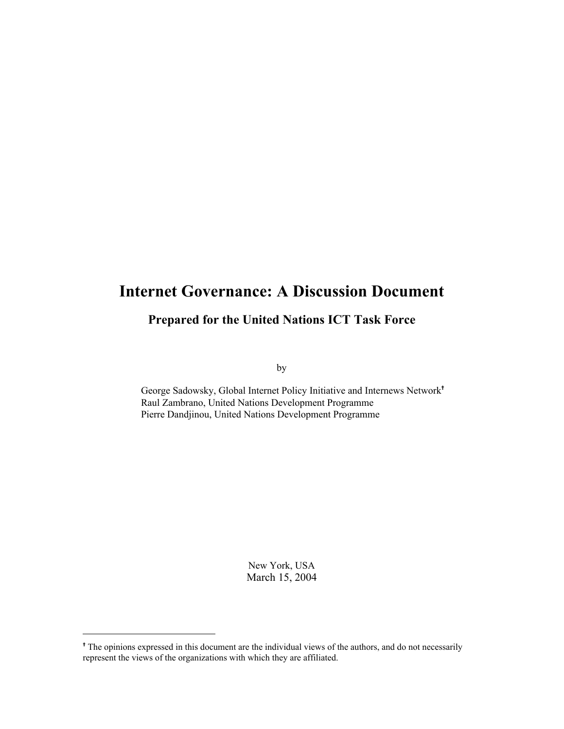# Internet Governance: A Discussion Document

# Prepared for the United Nations ICT Task Force

by

George Sadowsky, Global Internet Policy Initiative and Internews Network Raul Zambrano, United Nations Development Programme Pierre Dandjinou, United Nations Development Programme

> New York, USA March 15, 2004

l

<sup>&</sup>lt;sup>†</sup> The opinions expressed in this document are the individual views of the authors, and do not necessarily represent the views of the organizations with which they are affiliated.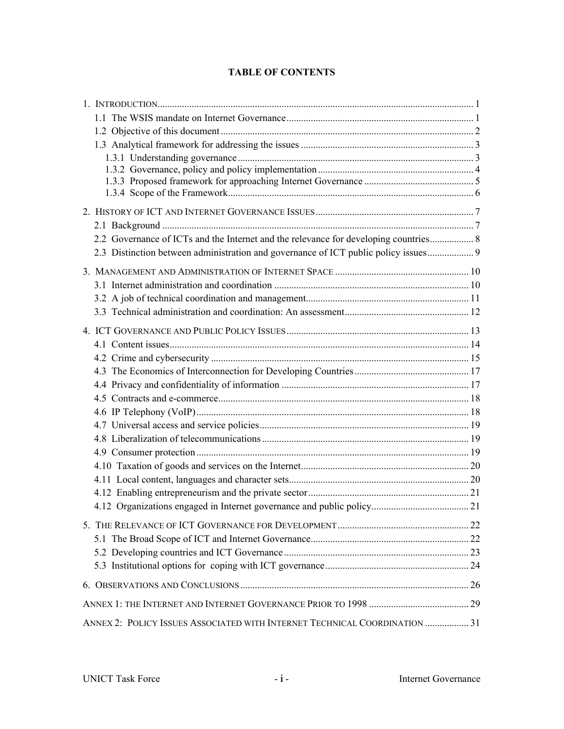# TABLE OF CONTENTS

| 2.2 Governance of ICTs and the Internet and the relevance for developing countries 8 |  |
|--------------------------------------------------------------------------------------|--|
|                                                                                      |  |
|                                                                                      |  |
|                                                                                      |  |
|                                                                                      |  |
|                                                                                      |  |
|                                                                                      |  |
|                                                                                      |  |
|                                                                                      |  |
|                                                                                      |  |
|                                                                                      |  |
|                                                                                      |  |
|                                                                                      |  |
|                                                                                      |  |
|                                                                                      |  |
|                                                                                      |  |
|                                                                                      |  |
|                                                                                      |  |
|                                                                                      |  |
|                                                                                      |  |
|                                                                                      |  |
|                                                                                      |  |
|                                                                                      |  |
|                                                                                      |  |
|                                                                                      |  |
|                                                                                      |  |
| ANNEX 2: POLICY ISSUES ASSOCIATED WITH INTERNET TECHNICAL COORDINATION  31           |  |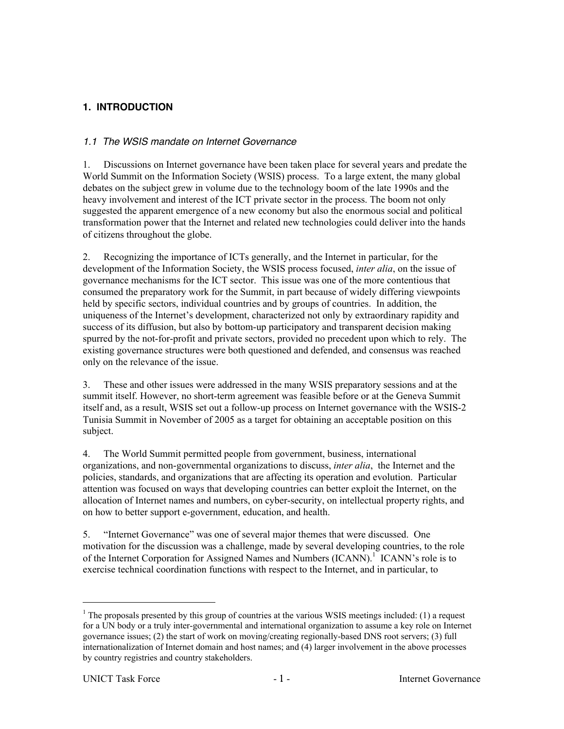# **1. INTRODUCTION**

### 1.1 The WSIS mandate on Internet Governance

1. Discussions on Internet governance have been taken place for several years and predate the World Summit on the Information Society (WSIS) process. To a large extent, the many global debates on the subject grew in volume due to the technology boom of the late 1990s and the heavy involvement and interest of the ICT private sector in the process. The boom not only suggested the apparent emergence of a new economy but also the enormous social and political transformation power that the Internet and related new technologies could deliver into the hands of citizens throughout the globe.

2. Recognizing the importance of ICTs generally, and the Internet in particular, for the development of the Information Society, the WSIS process focused, *inter alia*, on the issue of governance mechanisms for the ICT sector. This issue was one of the more contentious that consumed the preparatory work for the Summit, in part because of widely differing viewpoints held by specific sectors, individual countries and by groups of countries. In addition, the uniqueness of the Internet's development, characterized not only by extraordinary rapidity and success of its diffusion, but also by bottom-up participatory and transparent decision making spurred by the not-for-profit and private sectors, provided no precedent upon which to rely. The existing governance structures were both questioned and defended, and consensus was reached only on the relevance of the issue.

3. These and other issues were addressed in the many WSIS preparatory sessions and at the summit itself. However, no short-term agreement was feasible before or at the Geneva Summit itself and, as a result, WSIS set out a follow-up process on Internet governance with the WSIS-2 Tunisia Summit in November of 2005 as a target for obtaining an acceptable position on this subject.

4. The World Summit permitted people from government, business, international organizations, and non-governmental organizations to discuss, *inter alia*, the Internet and the policies, standards, and organizations that are affecting its operation and evolution. Particular attention was focused on ways that developing countries can better exploit the Internet, on the allocation of Internet names and numbers, on cyber-security, on intellectual property rights, and on how to better support e-government, education, and health.

5. "Internet Governance" was one of several major themes that were discussed. One motivation for the discussion was a challenge, made by several developing countries, to the role of the Internet Corporation for Assigned Names and Numbers (ICANN).<sup>1</sup> ICANN's role is to exercise technical coordination functions with respect to the Internet, and in particular, to

 $\frac{1}{1}$  $1$  The proposals presented by this group of countries at the various WSIS meetings included: (1) a request for a UN body or a truly inter-governmental and international organization to assume a key role on Internet governance issues; (2) the start of work on moving/creating regionally-based DNS root servers; (3) full internationalization of Internet domain and host names; and (4) larger involvement in the above processes by country registries and country stakeholders.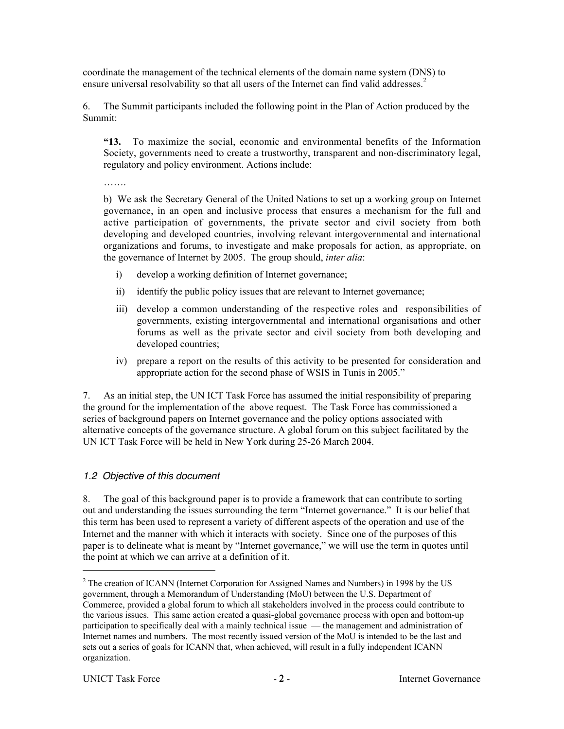coordinate the management of the technical elements of the domain name system (DNS) to ensure universal resolvability so that all users of the Internet can find valid addresses. $2$ 

6. The Summit participants included the following point in the Plan of Action produced by the Summit:

"13. To maximize the social, economic and environmental benefits of the Information Society, governments need to create a trustworthy, transparent and non-discriminatory legal, regulatory and policy environment. Actions include:

………

b) We ask the Secretary General of the United Nations to set up a working group on Internet governance, in an open and inclusive process that ensures a mechanism for the full and active participation of governments, the private sector and civil society from both developing and developed countries, involving relevant intergovernmental and international organizations and forums, to investigate and make proposals for action, as appropriate, on the governance of Internet by 2005. The group should, *inter alia*:

- i) develop a working definition of Internet governance;
- ii) identify the public policy issues that are relevant to Internet governance;
- iii) develop a common understanding of the respective roles and responsibilities of governments, existing intergovernmental and international organisations and other forums as well as the private sector and civil society from both developing and developed countries;
- iv) prepare a report on the results of this activity to be presented for consideration and appropriate action for the second phase of WSIS in Tunis in 2005."

7. As an initial step, the UN ICT Task Force has assumed the initial responsibility of preparing the ground for the implementation of the above request. The Task Force has commissioned a series of background papers on Internet governance and the policy options associated with alternative concepts of the governance structure. A global forum on this subject facilitated by the UN ICT Task Force will be held in New York during 25-26 March 2004.

# 1.2 Objective of this document

8. The goal of this background paper is to provide a framework that can contribute to sorting out and understanding the issues surrounding the term "Internet governance." It is our belief that this term has been used to represent a variety of different aspects of the operation and use of the Internet and the manner with which it interacts with society. Since one of the purposes of this paper is to delineate what is meant by "Internet governance," we will use the term in quotes until the point at which we can arrive at a definition of it.

 $\overline{a}$  $2^2$  The creation of ICANN (Internet Corporation for Assigned Names and Numbers) in 1998 by the US government, through a Memorandum of Understanding (MoU) between the U.S. Department of Commerce, provided a global forum to which all stakeholders involved in the process could contribute to the various issues. This same action created a quasi-global governance process with open and bottom-up participation to specifically deal with a mainly technical issue — the management and administration of Internet names and numbers. The most recently issued version of the MoU is intended to be the last and sets out a series of goals for ICANN that, when achieved, will result in a fully independent ICANN organization.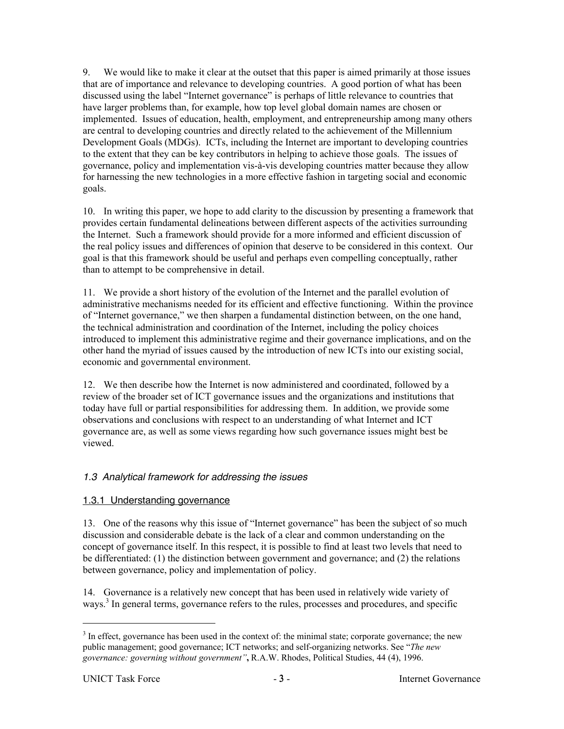9. We would like to make it clear at the outset that this paper is aimed primarily at those issues that are of importance and relevance to developing countries. A good portion of what has been discussed using the label "Internet governance" is perhaps of little relevance to countries that have larger problems than, for example, how top level global domain names are chosen or implemented. Issues of education, health, employment, and entrepreneurship among many others are central to developing countries and directly related to the achievement of the Millennium Development Goals (MDGs). ICTs, including the Internet are important to developing countries to the extent that they can be key contributors in helping to achieve those goals. The issues of governance, policy and implementation vis-à-vis developing countries matter because they allow for harnessing the new technologies in a more effective fashion in targeting social and economic goals.

10. In writing this paper, we hope to add clarity to the discussion by presenting a framework that provides certain fundamental delineations between different aspects of the activities surrounding the Internet. Such a framework should provide for a more informed and efficient discussion of the real policy issues and differences of opinion that deserve to be considered in this context. Our goal is that this framework should be useful and perhaps even compelling conceptually, rather than to attempt to be comprehensive in detail.

11. We provide a short history of the evolution of the Internet and the parallel evolution of administrative mechanisms needed for its efficient and effective functioning. Within the province of "Internet governance," we then sharpen a fundamental distinction between, on the one hand, the technical administration and coordination of the Internet, including the policy choices introduced to implement this administrative regime and their governance implications, and on the other hand the myriad of issues caused by the introduction of new ICTs into our existing social, economic and governmental environment.

12. We then describe how the Internet is now administered and coordinated, followed by a review of the broader set of ICT governance issues and the organizations and institutions that today have full or partial responsibilities for addressing them. In addition, we provide some observations and conclusions with respect to an understanding of what Internet and ICT governance are, as well as some views regarding how such governance issues might best be viewed.

### 1.3 Analytical framework for addressing the issues

### 1.3.1 Understanding governance

13. One of the reasons why this issue of "Internet governance" has been the subject of so much discussion and considerable debate is the lack of a clear and common understanding on the concept of governance itself. In this respect, it is possible to find at least two levels that need to be differentiated: (1) the distinction between government and governance; and (2) the relations between governance, policy and implementation of policy.

14. Governance is a relatively new concept that has been used in relatively wide variety of ways.<sup>3</sup> In general terms, governance refers to the rules, processes and procedures, and specific

<sup>&</sup>lt;sup>2</sup><br>3 <sup>3</sup> In effect, governance has been used in the context of: the minimal state; corporate governance; the new public management; good governance; ICT networks; and self-organizing networks. See "*The new governance: governing without government"*, R.A.W. Rhodes, Political Studies, 44 (4), 1996.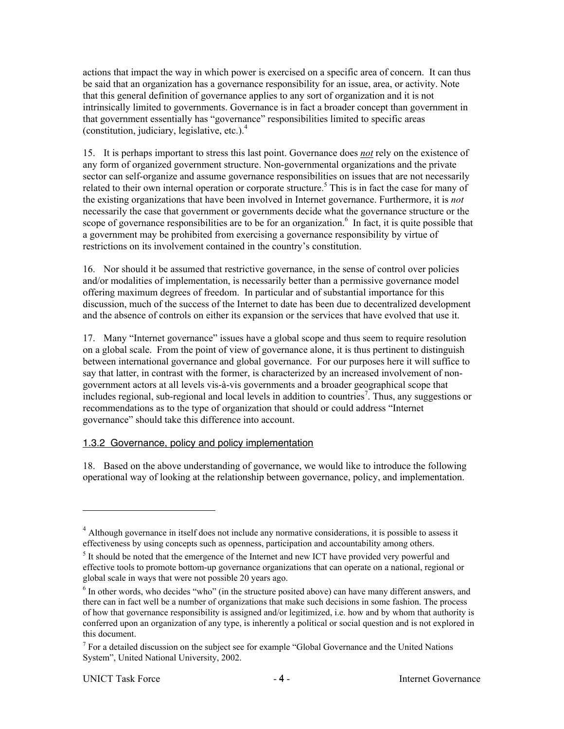actions that impact the way in which power is exercised on a specific area of concern. It can thus be said that an organization has a governance responsibility for an issue, area, or activity. Note that this general definition of governance applies to any sort of organization and it is not intrinsically limited to governments. Governance is in fact a broader concept than government in that government essentially has "governance" responsibilities limited to specific areas (constitution, judiciary, legislative, etc.). $<sup>4</sup>$ </sup>

15. It is perhaps important to stress this last point. Governance does *not* rely on the existence of any form of organized government structure. Non-governmental organizations and the private sector can self-organize and assume governance responsibilities on issues that are not necessarily related to their own internal operation or corporate structure.<sup>5</sup> This is in fact the case for many of the existing organizations that have been involved in Internet governance. Furthermore, it is *not* necessarily the case that government or governments decide what the governance structure or the scope of governance responsibilities are to be for an organization.<sup>6</sup> In fact, it is quite possible that a government may be prohibited from exercising a governance responsibility by virtue of restrictions on its involvement contained in the country's constitution.

16. Nor should it be assumed that restrictive governance, in the sense of control over policies and/or modalities of implementation, is necessarily better than a permissive governance model offering maximum degrees of freedom. In particular and of substantial importance for this discussion, much of the success of the Internet to date has been due to decentralized development and the absence of controls on either its expansion or the services that have evolved that use it.

17. Many "Internet governance" issues have a global scope and thus seem to require resolution on a global scale. From the point of view of governance alone, it is thus pertinent to distinguish between international governance and global governance. For our purposes here it will suffice to say that latter, in contrast with the former, is characterized by an increased involvement of nongovernment actors at all levels vis-à-vis governments and a broader geographical scope that includes regional, sub-regional and local levels in addition to countries<sup>7</sup>. Thus, any suggestions or recommendations as to the type of organization that should or could address "Internet governance" should take this difference into account.

### 1.3.2 Governance, policy and policy implementation

18. Based on the above understanding of governance, we would like to introduce the following operational way of looking at the relationship between governance, policy, and implementation.

l

 $4$  Although governance in itself does not include any normative considerations, it is possible to assess it effectiveness by using concepts such as openness, participation and accountability among others.

 $<sup>5</sup>$  It should be noted that the emergence of the Internet and new ICT have provided very powerful and</sup> effective tools to promote bottom-up governance organizations that can operate on a national, regional or global scale in ways that were not possible 20 years ago.

<sup>&</sup>lt;sup>6</sup> In other words, who decides "who" (in the structure posited above) can have many different answers, and there can in fact well be a number of organizations that make such decisions in some fashion. The process of how that governance responsibility is assigned and/or legitimized, i.e. how and by whom that authority is conferred upon an organization of any type, is inherently a political or social question and is not explored in this document.

 $<sup>7</sup>$  For a detailed discussion on the subject see for example "Global Governance and the United Nations</sup> System", United National University, 2002.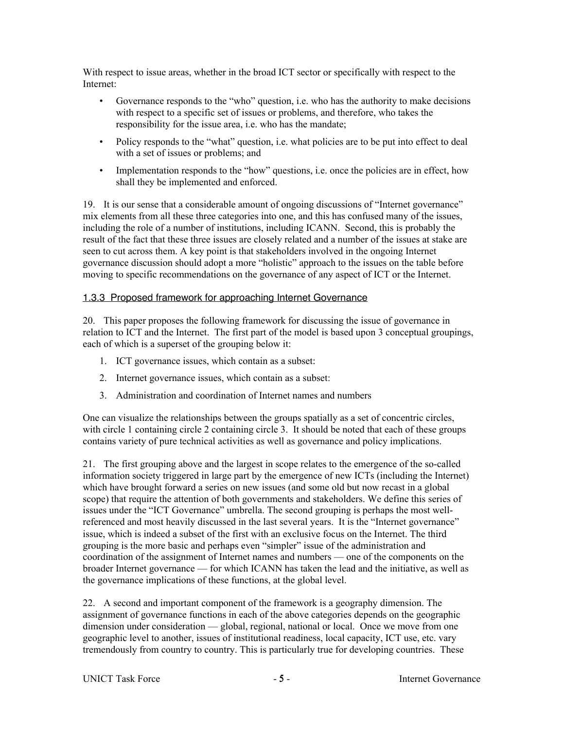With respect to issue areas, whether in the broad ICT sector or specifically with respect to the Internet:

- Governance responds to the "who" question, i.e. who has the authority to make decisions with respect to a specific set of issues or problems, and therefore, who takes the responsibility for the issue area, i.e. who has the mandate;
- Policy responds to the "what" question, i.e. what policies are to be put into effect to deal with a set of issues or problems; and
- Implementation responds to the "how" questions, i.e. once the policies are in effect, how shall they be implemented and enforced.

19. It is our sense that a considerable amount of ongoing discussions of "Internet governance" mix elements from all these three categories into one, and this has confused many of the issues, including the role of a number of institutions, including ICANN. Second, this is probably the result of the fact that these three issues are closely related and a number of the issues at stake are seen to cut across them. A key point is that stakeholders involved in the ongoing Internet governance discussion should adopt a more "holistic" approach to the issues on the table before moving to specific recommendations on the governance of any aspect of ICT or the Internet.

### 1.3.3 Proposed framework for approaching Internet Governance

20. This paper proposes the following framework for discussing the issue of governance in relation to ICT and the Internet. The first part of the model is based upon 3 conceptual groupings, each of which is a superset of the grouping below it:

- 1. ICT governance issues, which contain as a subset:
- 2. Internet governance issues, which contain as a subset:
- 3. Administration and coordination of Internet names and numbers

One can visualize the relationships between the groups spatially as a set of concentric circles, with circle 1 containing circle 2 containing circle 3. It should be noted that each of these groups contains variety of pure technical activities as well as governance and policy implications.

21. The first grouping above and the largest in scope relates to the emergence of the so-called information society triggered in large part by the emergence of new ICTs (including the Internet) which have brought forward a series on new issues (and some old but now recast in a global scope) that require the attention of both governments and stakeholders. We define this series of issues under the "ICT Governance" umbrella. The second grouping is perhaps the most wellreferenced and most heavily discussed in the last several years. It is the "Internet governance" issue, which is indeed a subset of the first with an exclusive focus on the Internet. The third grouping is the more basic and perhaps even "simpler" issue of the administration and coordination of the assignment of Internet names and numbers — one of the components on the broader Internet governance — for which ICANN has taken the lead and the initiative, as well as the governance implications of these functions, at the global level.

22. A second and important component of the framework is a geography dimension. The assignment of governance functions in each of the above categories depends on the geographic dimension under consideration — global, regional, national or local. Once we move from one geographic level to another, issues of institutional readiness, local capacity, ICT use, etc. vary tremendously from country to country. This is particularly true for developing countries. These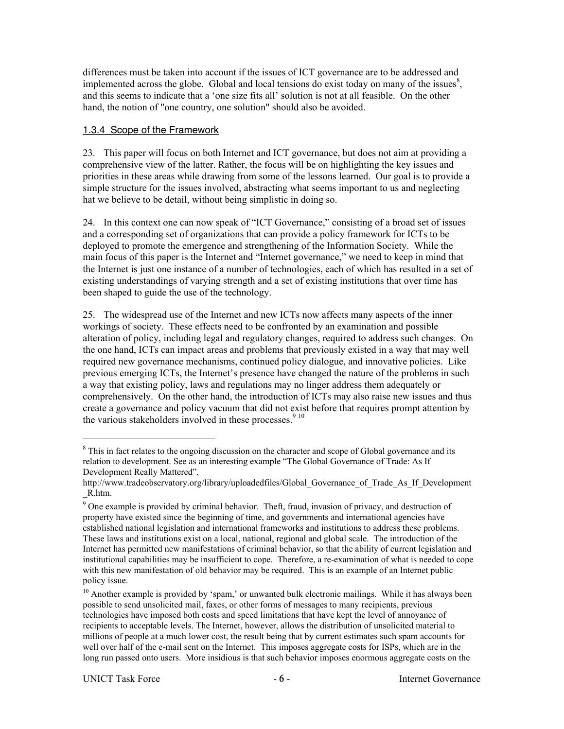differences must be taken into account if the issues of ICT governance are to be addressed and implemented across the globe. Global and local tensions do exist today on many of the issues $\delta$ , and this seems to indicate that a 'one size fits all' solution is not at all feasible. On the other hand, the notion of "one country, one solution" should also be avoided.

### 1.3.4 Scope of the Framework

23. This paper will focus on both Internet and ICT governance, but does not aim at providing a comprehensive view of the latter. Rather, the focus will be on highlighting the key issues and priorities in these areas while drawing from some of the lessons learned. Our goal is to provide a simple structure for the issues involved, abstracting what seems important to us and neglecting hat we believe to be detail, without being simplistic in doing so.

24. In this context one can now speak of "ICT Governance," consisting of a broad set of issues and a corresponding set of organizations that can provide a policy framework for ICTs to be deployed to promote the emergence and strengthening of the Information Society. While the main focus of this paper is the Internet and "Internet governance," we need to keep in mind that the Internet is just one instance of a number of technologies, each of which has resulted in a set of existing understandings of varying strength and a set of existing institutions that over time has been shaped to guide the use of the technology.

25. The widespread use of the Internet and new ICTs now affects many aspects of the inner workings of society. These effects need to be confronted by an examination and possible alteration of policy, including legal and regulatory changes, required to address such changes. On the one hand, ICTs can impact areas and problems that previously existed in a way that may well required new governance mechanisms, continued policy dialogue, and innovative policies. Like previous emerging ICTs, the Internet's presence have changed the nature of the problems in such a way that existing policy, laws and regulations may no linger address them adequately or comprehensively. On the other hand, the introduction of ICTs may also raise new issues and thus create a governance and policy vacuum that did not exist before that requires prompt attention by the various stakeholders involved in these processes. $910$ 

 $\frac{1}{8}$ <sup>8</sup> This in fact relates to the ongoing discussion on the character and scope of Global governance and its relation to development. See as an interesting example "The Global Governance of Trade: As If Development Really Mattered",

http://www.tradeobservatory.org/library/uploadedfiles/Global\_Governance\_of\_Trade\_As\_If\_Development \_R.htm.

<sup>&</sup>lt;sup>9</sup> One example is provided by criminal behavior. Theft, fraud, invasion of privacy, and destruction of property have existed since the beginning of time, and governments and international agencies have established national legislation and international frameworks and institutions to address these problems. These laws and institutions exist on a local, national, regional and global scale. The introduction of the Internet has permitted new manifestations of criminal behavior, so that the ability of current legislation and institutional capabilities may be insufficient to cope. Therefore, a re-examination of what is needed to cope with this new manifestation of old behavior may be required. This is an example of an Internet public policy issue.

<sup>&</sup>lt;sup>10</sup> Another example is provided by 'spam,' or unwanted bulk electronic mailings. While it has always been possible to send unsolicited mail, faxes, or other forms of messages to many recipients, previous technologies have imposed both costs and speed limitations that have kept the level of annoyance of recipients to acceptable levels. The Internet, however, allows the distribution of unsolicited material to millions of people at a much lower cost, the result being that by current estimates such spam accounts for well over half of the e-mail sent on the Internet. This imposes aggregate costs for ISPs, which are in the long run passed onto users. More insidious is that such behavior imposes enormous aggregate costs on the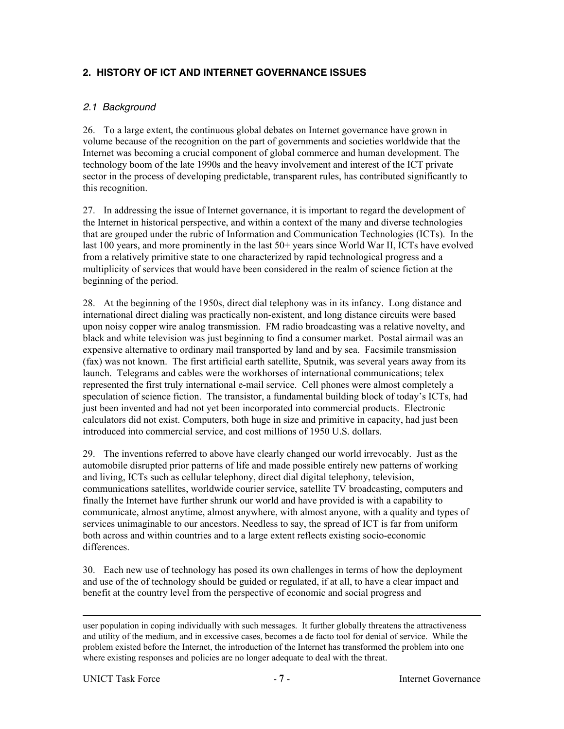# **2. HISTORY OF ICT AND INTERNET GOVERNANCE ISSUES**

### 2.1 Background

26. To a large extent, the continuous global debates on Internet governance have grown in volume because of the recognition on the part of governments and societies worldwide that the Internet was becoming a crucial component of global commerce and human development. The technology boom of the late 1990s and the heavy involvement and interest of the ICT private sector in the process of developing predictable, transparent rules, has contributed significantly to this recognition.

27. In addressing the issue of Internet governance, it is important to regard the development of the Internet in historical perspective, and within a context of the many and diverse technologies that are grouped under the rubric of Information and Communication Technologies (ICTs). In the last 100 years, and more prominently in the last 50+ years since World War II, ICTs have evolved from a relatively primitive state to one characterized by rapid technological progress and a multiplicity of services that would have been considered in the realm of science fiction at the beginning of the period.

28. At the beginning of the 1950s, direct dial telephony was in its infancy. Long distance and international direct dialing was practically non-existent, and long distance circuits were based upon noisy copper wire analog transmission. FM radio broadcasting was a relative novelty, and black and white television was just beginning to find a consumer market. Postal airmail was an expensive alternative to ordinary mail transported by land and by sea. Facsimile transmission (fax) was not known. The first artificial earth satellite, Sputnik, was several years away from its launch. Telegrams and cables were the workhorses of international communications; telex represented the first truly international e-mail service. Cell phones were almost completely a speculation of science fiction. The transistor, a fundamental building block of today's ICTs, had just been invented and had not yet been incorporated into commercial products. Electronic calculators did not exist. Computers, both huge in size and primitive in capacity, had just been introduced into commercial service, and cost millions of 1950 U.S. dollars.

29. The inventions referred to above have clearly changed our world irrevocably. Just as the automobile disrupted prior patterns of life and made possible entirely new patterns of working and living, ICTs such as cellular telephony, direct dial digital telephony, television, communications satellites, worldwide courier service, satellite TV broadcasting, computers and finally the Internet have further shrunk our world and have provided is with a capability to communicate, almost anytime, almost anywhere, with almost anyone, with a quality and types of services unimaginable to our ancestors. Needless to say, the spread of ICT is far from uniform both across and within countries and to a large extent reflects existing socio-economic differences.

30. Each new use of technology has posed its own challenges in terms of how the deployment and use of the of technology should be guided or regulated, if at all, to have a clear impact and benefit at the country level from the perspective of economic and social progress and

l

user population in coping individually with such messages. It further globally threatens the attractiveness and utility of the medium, and in excessive cases, becomes a de facto tool for denial of service. While the problem existed before the Internet, the introduction of the Internet has transformed the problem into one where existing responses and policies are no longer adequate to deal with the threat.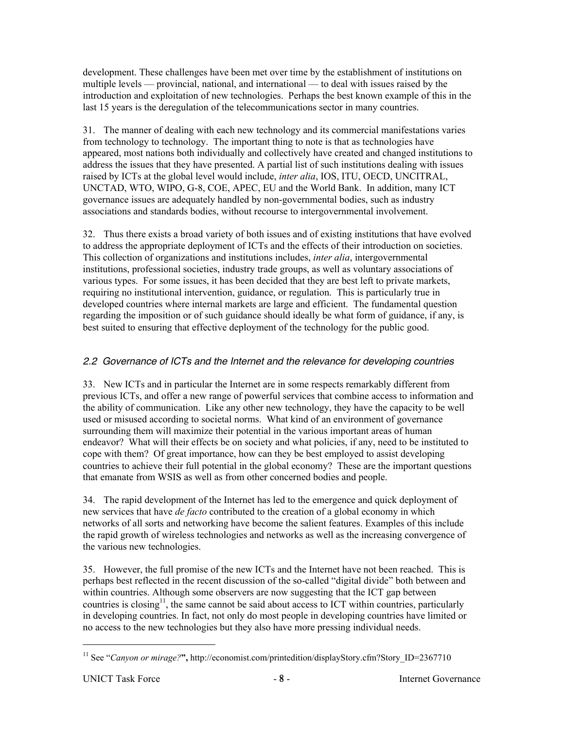development. These challenges have been met over time by the establishment of institutions on multiple levels — provincial, national, and international — to deal with issues raised by the introduction and exploitation of new technologies. Perhaps the best known example of this in the last 15 years is the deregulation of the telecommunications sector in many countries.

31. The manner of dealing with each new technology and its commercial manifestations varies from technology to technology. The important thing to note is that as technologies have appeared, most nations both individually and collectively have created and changed institutions to address the issues that they have presented. A partial list of such institutions dealing with issues raised by ICTs at the global level would include, *inter alia*, IOS, ITU, OECD, UNCITRAL, UNCTAD, WTO, WIPO, G-8, COE, APEC, EU and the World Bank. In addition, many ICT governance issues are adequately handled by non-governmental bodies, such as industry associations and standards bodies, without recourse to intergovernmental involvement.

32. Thus there exists a broad variety of both issues and of existing institutions that have evolved to address the appropriate deployment of ICTs and the effects of their introduction on societies. This collection of organizations and institutions includes, *inter alia*, intergovernmental institutions, professional societies, industry trade groups, as well as voluntary associations of various types. For some issues, it has been decided that they are best left to private markets, requiring no institutional intervention, guidance, or regulation. This is particularly true in developed countries where internal markets are large and efficient. The fundamental question regarding the imposition or of such guidance should ideally be what form of guidance, if any, is best suited to ensuring that effective deployment of the technology for the public good.

# 2.2 Governance of ICTs and the Internet and the relevance for developing countries

33. New ICTs and in particular the Internet are in some respects remarkably different from previous ICTs, and offer a new range of powerful services that combine access to information and the ability of communication. Like any other new technology, they have the capacity to be well used or misused according to societal norms. What kind of an environment of governance surrounding them will maximize their potential in the various important areas of human endeavor? What will their effects be on society and what policies, if any, need to be instituted to cope with them? Of great importance, how can they be best employed to assist developing countries to achieve their full potential in the global economy? These are the important questions that emanate from WSIS as well as from other concerned bodies and people.

34. The rapid development of the Internet has led to the emergence and quick deployment of new services that have *de facto* contributed to the creation of a global economy in which networks of all sorts and networking have become the salient features. Examples of this include the rapid growth of wireless technologies and networks as well as the increasing convergence of the various new technologies.

35. However, the full promise of the new ICTs and the Internet have not been reached. This is perhaps best reflected in the recent discussion of the so-called "digital divide" both between and within countries. Although some observers are now suggesting that the ICT gap between countries is closing<sup>11</sup>, the same cannot be said about access to ICT within countries, particularly in developing countries. In fact, not only do most people in developing countries have limited or no access to the new technologies but they also have more pressing individual needs.

<sup>&</sup>lt;sup>11</sup> See "*Canyon or mirage?*", http://economist.com/printedition/displayStory.cfm?Story\_ID=2367710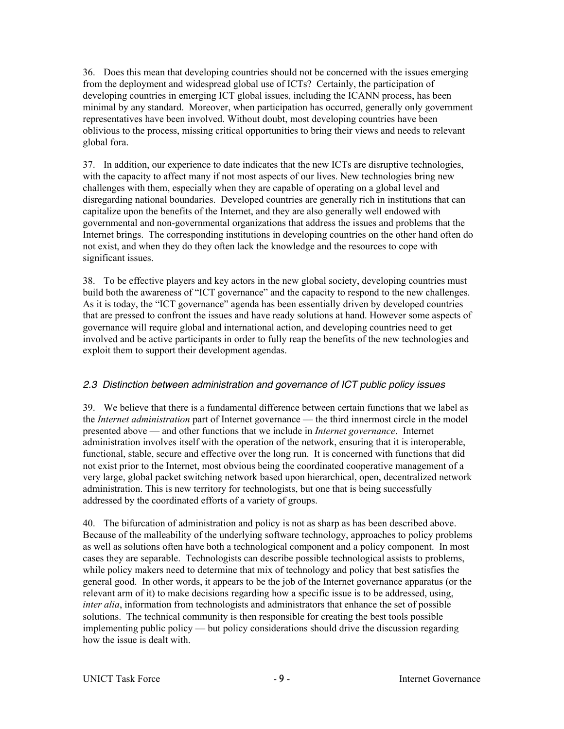36. Does this mean that developing countries should not be concerned with the issues emerging from the deployment and widespread global use of ICTs? Certainly, the participation of developing countries in emerging ICT global issues, including the ICANN process, has been minimal by any standard. Moreover, when participation has occurred, generally only government representatives have been involved. Without doubt, most developing countries have been oblivious to the process, missing critical opportunities to bring their views and needs to relevant global fora.

37. In addition, our experience to date indicates that the new ICTs are disruptive technologies, with the capacity to affect many if not most aspects of our lives. New technologies bring new challenges with them, especially when they are capable of operating on a global level and disregarding national boundaries. Developed countries are generally rich in institutions that can capitalize upon the benefits of the Internet, and they are also generally well endowed with governmental and non-governmental organizations that address the issues and problems that the Internet brings. The corresponding institutions in developing countries on the other hand often do not exist, and when they do they often lack the knowledge and the resources to cope with significant issues.

38. To be effective players and key actors in the new global society, developing countries must build both the awareness of "ICT governance" and the capacity to respond to the new challenges. As it is today, the "ICT governance" agenda has been essentially driven by developed countries that are pressed to confront the issues and have ready solutions at hand. However some aspects of governance will require global and international action, and developing countries need to get involved and be active participants in order to fully reap the benefits of the new technologies and exploit them to support their development agendas.

# 2.3 Distinction between administration and governance of ICT public policy issues

39. We believe that there is a fundamental difference between certain functions that we label as the *Internet administration* part of Internet governance — the third innermost circle in the model presented above — and other functions that we include in *Internet governance*. Internet administration involves itself with the operation of the network, ensuring that it is interoperable, functional, stable, secure and effective over the long run. It is concerned with functions that did not exist prior to the Internet, most obvious being the coordinated cooperative management of a very large, global packet switching network based upon hierarchical, open, decentralized network administration. This is new territory for technologists, but one that is being successfully addressed by the coordinated efforts of a variety of groups.

40. The bifurcation of administration and policy is not as sharp as has been described above. Because of the malleability of the underlying software technology, approaches to policy problems as well as solutions often have both a technological component and a policy component. In most cases they are separable. Technologists can describe possible technological assists to problems, while policy makers need to determine that mix of technology and policy that best satisfies the general good. In other words, it appears to be the job of the Internet governance apparatus (or the relevant arm of it) to make decisions regarding how a specific issue is to be addressed, using, *inter alia*, information from technologists and administrators that enhance the set of possible solutions. The technical community is then responsible for creating the best tools possible implementing public policy — but policy considerations should drive the discussion regarding how the issue is dealt with.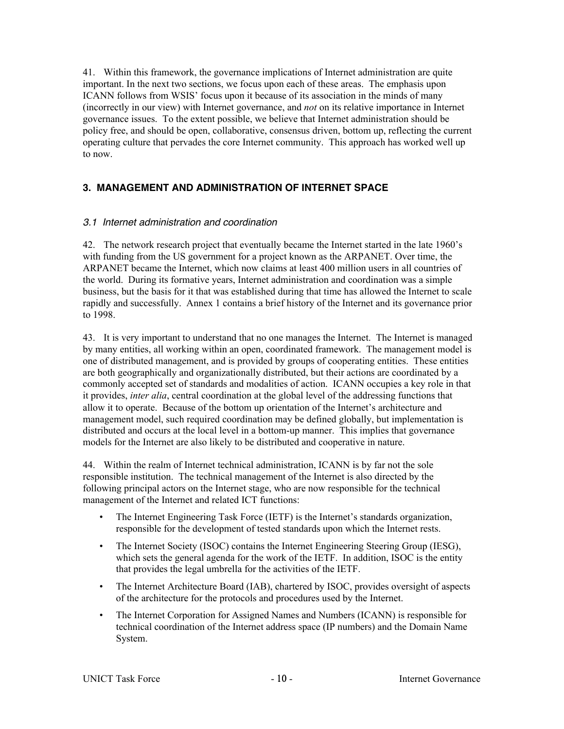41. Within this framework, the governance implications of Internet administration are quite important. In the next two sections, we focus upon each of these areas. The emphasis upon ICANN follows from WSIS' focus upon it because of its association in the minds of many (incorrectly in our view) with Internet governance, and *not* on its relative importance in Internet governance issues. To the extent possible, we believe that Internet administration should be policy free, and should be open, collaborative, consensus driven, bottom up, reflecting the current operating culture that pervades the core Internet community. This approach has worked well up to now.

# **3. MANAGEMENT AND ADMINISTRATION OF INTERNET SPACE**

### 3.1 Internet administration and coordination

42. The network research project that eventually became the Internet started in the late 1960's with funding from the US government for a project known as the ARPANET. Over time, the ARPANET became the Internet, which now claims at least 400 million users in all countries of the world. During its formative years, Internet administration and coordination was a simple business, but the basis for it that was established during that time has allowed the Internet to scale rapidly and successfully. Annex 1 contains a brief history of the Internet and its governance prior to 1998.

43. It is very important to understand that no one manages the Internet. The Internet is managed by many entities, all working within an open, coordinated framework. The management model is one of distributed management, and is provided by groups of cooperating entities. These entities are both geographically and organizationally distributed, but their actions are coordinated by a commonly accepted set of standards and modalities of action. ICANN occupies a key role in that it provides, *inter alia*, central coordination at the global level of the addressing functions that allow it to operate. Because of the bottom up orientation of the Internet's architecture and management model, such required coordination may be defined globally, but implementation is distributed and occurs at the local level in a bottom-up manner. This implies that governance models for the Internet are also likely to be distributed and cooperative in nature.

44. Within the realm of Internet technical administration, ICANN is by far not the sole responsible institution. The technical management of the Internet is also directed by the following principal actors on the Internet stage, who are now responsible for the technical management of the Internet and related ICT functions:

- The Internet Engineering Task Force (IETF) is the Internet's standards organization, responsible for the development of tested standards upon which the Internet rests.
- The Internet Society (ISOC) contains the Internet Engineering Steering Group (IESG), which sets the general agenda for the work of the IETF. In addition, ISOC is the entity that provides the legal umbrella for the activities of the IETF.
- The Internet Architecture Board (IAB), chartered by ISOC, provides oversight of aspects of the architecture for the protocols and procedures used by the Internet.
- The Internet Corporation for Assigned Names and Numbers (ICANN) is responsible for technical coordination of the Internet address space (IP numbers) and the Domain Name System.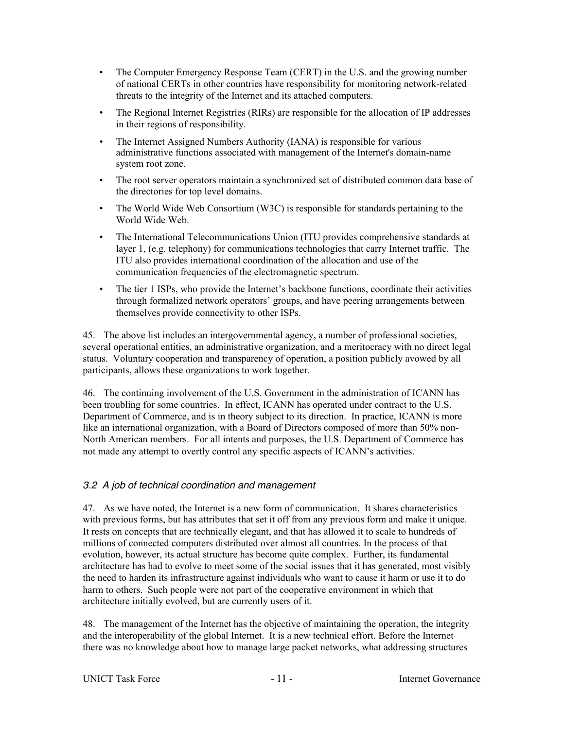- The Computer Emergency Response Team (CERT) in the U.S. and the growing number of national CERTs in other countries have responsibility for monitoring network-related threats to the integrity of the Internet and its attached computers.
- The Regional Internet Registries (RIRs) are responsible for the allocation of IP addresses in their regions of responsibility.
- The Internet Assigned Numbers Authority (IANA) is responsible for various administrative functions associated with management of the Internet's domain-name system root zone.
- The root server operators maintain a synchronized set of distributed common data base of the directories for top level domains.
- The World Wide Web Consortium (W3C) is responsible for standards pertaining to the World Wide Web.
- The International Telecommunications Union (ITU provides comprehensive standards at layer 1, (e.g. telephony) for communications technologies that carry Internet traffic. The ITU also provides international coordination of the allocation and use of the communication frequencies of the electromagnetic spectrum.
- The tier 1 ISPs, who provide the Internet's backbone functions, coordinate their activities through formalized network operators' groups, and have peering arrangements between themselves provide connectivity to other ISPs.

45. The above list includes an intergovernmental agency, a number of professional societies, several operational entities, an administrative organization, and a meritocracy with no direct legal status. Voluntary cooperation and transparency of operation, a position publicly avowed by all participants, allows these organizations to work together.

46. The continuing involvement of the U.S. Government in the administration of ICANN has been troubling for some countries. In effect, ICANN has operated under contract to the U.S. Department of Commerce, and is in theory subject to its direction. In practice, ICANN is more like an international organization, with a Board of Directors composed of more than 50% non-North American members. For all intents and purposes, the U.S. Department of Commerce has not made any attempt to overtly control any specific aspects of ICANN's activities.

### 3.2 A job of technical coordination and management

47. As we have noted, the Internet is a new form of communication. It shares characteristics with previous forms, but has attributes that set it off from any previous form and make it unique. It rests on concepts that are technically elegant, and that has allowed it to scale to hundreds of millions of connected computers distributed over almost all countries. In the process of that evolution, however, its actual structure has become quite complex. Further, its fundamental architecture has had to evolve to meet some of the social issues that it has generated, most visibly the need to harden its infrastructure against individuals who want to cause it harm or use it to do harm to others. Such people were not part of the cooperative environment in which that architecture initially evolved, but are currently users of it.

48. The management of the Internet has the objective of maintaining the operation, the integrity and the interoperability of the global Internet. It is a new technical effort. Before the Internet there was no knowledge about how to manage large packet networks, what addressing structures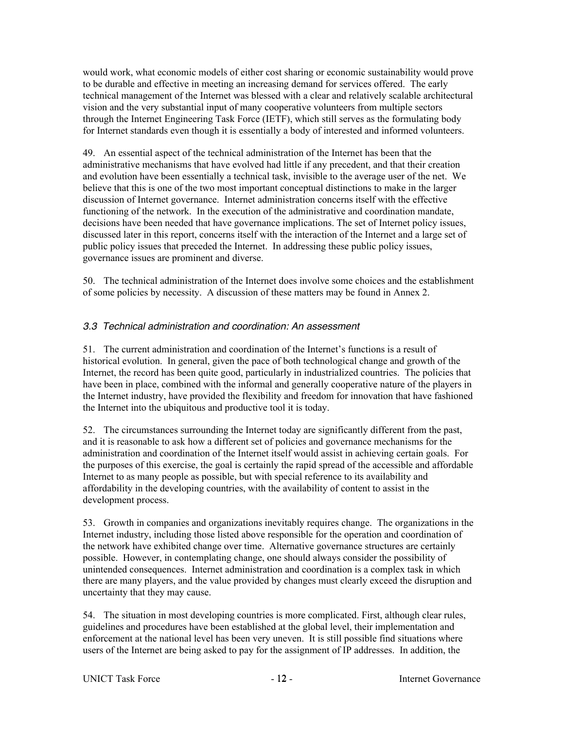would work, what economic models of either cost sharing or economic sustainability would prove to be durable and effective in meeting an increasing demand for services offered. The early technical management of the Internet was blessed with a clear and relatively scalable architectural vision and the very substantial input of many cooperative volunteers from multiple sectors through the Internet Engineering Task Force (IETF), which still serves as the formulating body for Internet standards even though it is essentially a body of interested and informed volunteers.

49. An essential aspect of the technical administration of the Internet has been that the administrative mechanisms that have evolved had little if any precedent, and that their creation and evolution have been essentially a technical task, invisible to the average user of the net. We believe that this is one of the two most important conceptual distinctions to make in the larger discussion of Internet governance. Internet administration concerns itself with the effective functioning of the network. In the execution of the administrative and coordination mandate, decisions have been needed that have governance implications. The set of Internet policy issues, discussed later in this report, concerns itself with the interaction of the Internet and a large set of public policy issues that preceded the Internet. In addressing these public policy issues, governance issues are prominent and diverse.

50. The technical administration of the Internet does involve some choices and the establishment of some policies by necessity. A discussion of these matters may be found in Annex 2.

# 3.3 Technical administration and coordination: An assessment

51. The current administration and coordination of the Internet's functions is a result of historical evolution. In general, given the pace of both technological change and growth of the Internet, the record has been quite good, particularly in industrialized countries. The policies that have been in place, combined with the informal and generally cooperative nature of the players in the Internet industry, have provided the flexibility and freedom for innovation that have fashioned the Internet into the ubiquitous and productive tool it is today.

52. The circumstances surrounding the Internet today are significantly different from the past, and it is reasonable to ask how a different set of policies and governance mechanisms for the administration and coordination of the Internet itself would assist in achieving certain goals. For the purposes of this exercise, the goal is certainly the rapid spread of the accessible and affordable Internet to as many people as possible, but with special reference to its availability and affordability in the developing countries, with the availability of content to assist in the development process.

53. Growth in companies and organizations inevitably requires change. The organizations in the Internet industry, including those listed above responsible for the operation and coordination of the network have exhibited change over time. Alternative governance structures are certainly possible. However, in contemplating change, one should always consider the possibility of unintended consequences. Internet administration and coordination is a complex task in which there are many players, and the value provided by changes must clearly exceed the disruption and uncertainty that they may cause.

54. The situation in most developing countries is more complicated. First, although clear rules, guidelines and procedures have been established at the global level, their implementation and enforcement at the national level has been very uneven. It is still possible find situations where users of the Internet are being asked to pay for the assignment of IP addresses. In addition, the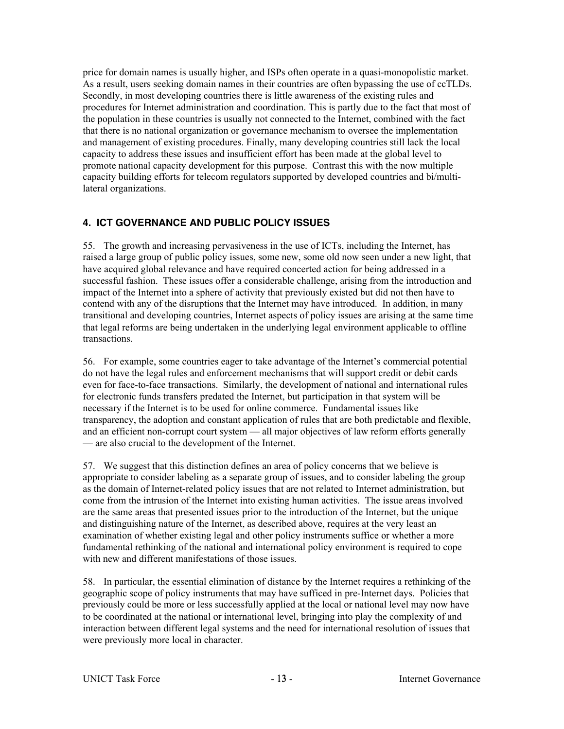price for domain names is usually higher, and ISPs often operate in a quasi-monopolistic market. As a result, users seeking domain names in their countries are often bypassing the use of ccTLDs. Secondly, in most developing countries there is little awareness of the existing rules and procedures for Internet administration and coordination. This is partly due to the fact that most of the population in these countries is usually not connected to the Internet, combined with the fact that there is no national organization or governance mechanism to oversee the implementation and management of existing procedures. Finally, many developing countries still lack the local capacity to address these issues and insufficient effort has been made at the global level to promote national capacity development for this purpose. Contrast this with the now multiple capacity building efforts for telecom regulators supported by developed countries and bi/multilateral organizations.

# **4. ICT GOVERNANCE AND PUBLIC POLICY ISSUES**

55. The growth and increasing pervasiveness in the use of ICTs, including the Internet, has raised a large group of public policy issues, some new, some old now seen under a new light, that have acquired global relevance and have required concerted action for being addressed in a successful fashion. These issues offer a considerable challenge, arising from the introduction and impact of the Internet into a sphere of activity that previously existed but did not then have to contend with any of the disruptions that the Internet may have introduced. In addition, in many transitional and developing countries, Internet aspects of policy issues are arising at the same time that legal reforms are being undertaken in the underlying legal environment applicable to offline transactions.

56. For example, some countries eager to take advantage of the Internet's commercial potential do not have the legal rules and enforcement mechanisms that will support credit or debit cards even for face-to-face transactions. Similarly, the development of national and international rules for electronic funds transfers predated the Internet, but participation in that system will be necessary if the Internet is to be used for online commerce. Fundamental issues like transparency, the adoption and constant application of rules that are both predictable and flexible, and an efficient non-corrupt court system — all major objectives of law reform efforts generally — are also crucial to the development of the Internet.

57. We suggest that this distinction defines an area of policy concerns that we believe is appropriate to consider labeling as a separate group of issues, and to consider labeling the group as the domain of Internet-related policy issues that are not related to Internet administration, but come from the intrusion of the Internet into existing human activities. The issue areas involved are the same areas that presented issues prior to the introduction of the Internet, but the unique and distinguishing nature of the Internet, as described above, requires at the very least an examination of whether existing legal and other policy instruments suffice or whether a more fundamental rethinking of the national and international policy environment is required to cope with new and different manifestations of those issues.

58. In particular, the essential elimination of distance by the Internet requires a rethinking of the geographic scope of policy instruments that may have sufficed in pre-Internet days. Policies that previously could be more or less successfully applied at the local or national level may now have to be coordinated at the national or international level, bringing into play the complexity of and interaction between different legal systems and the need for international resolution of issues that were previously more local in character.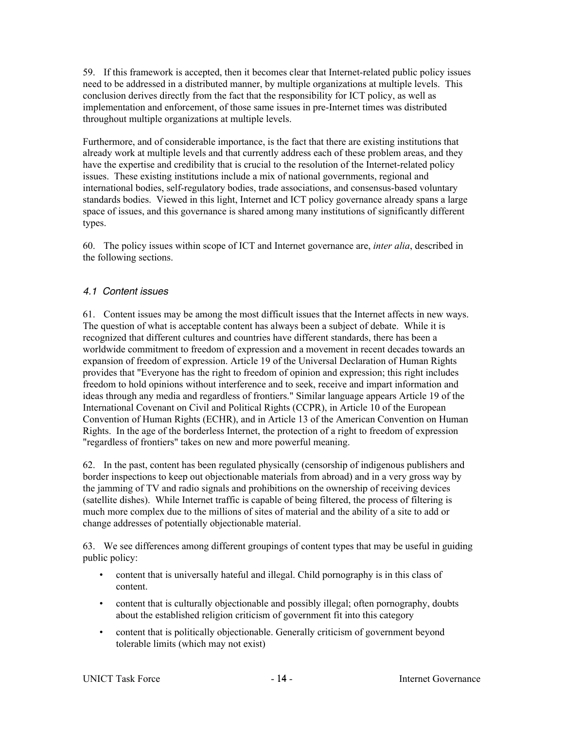59. If this framework is accepted, then it becomes clear that Internet-related public policy issues need to be addressed in a distributed manner, by multiple organizations at multiple levels. This conclusion derives directly from the fact that the responsibility for ICT policy, as well as implementation and enforcement, of those same issues in pre-Internet times was distributed throughout multiple organizations at multiple levels.

Furthermore, and of considerable importance, is the fact that there are existing institutions that already work at multiple levels and that currently address each of these problem areas, and they have the expertise and credibility that is crucial to the resolution of the Internet-related policy issues. These existing institutions include a mix of national governments, regional and international bodies, self-regulatory bodies, trade associations, and consensus-based voluntary standards bodies. Viewed in this light, Internet and ICT policy governance already spans a large space of issues, and this governance is shared among many institutions of significantly different types.

60. The policy issues within scope of ICT and Internet governance are, *inter alia*, described in the following sections.

# 4.1 Content issues

61. Content issues may be among the most difficult issues that the Internet affects in new ways. The question of what is acceptable content has always been a subject of debate. While it is recognized that different cultures and countries have different standards, there has been a worldwide commitment to freedom of expression and a movement in recent decades towards an expansion of freedom of expression. Article 19 of the Universal Declaration of Human Rights provides that "Everyone has the right to freedom of opinion and expression; this right includes freedom to hold opinions without interference and to seek, receive and impart information and ideas through any media and regardless of frontiers." Similar language appears Article 19 of the International Covenant on Civil and Political Rights (CCPR), in Article 10 of the European Convention of Human Rights (ECHR), and in Article 13 of the American Convention on Human Rights. In the age of the borderless Internet, the protection of a right to freedom of expression "regardless of frontiers" takes on new and more powerful meaning.

62. In the past, content has been regulated physically (censorship of indigenous publishers and border inspections to keep out objectionable materials from abroad) and in a very gross way by the jamming of TV and radio signals and prohibitions on the ownership of receiving devices (satellite dishes). While Internet traffic is capable of being filtered, the process of filtering is much more complex due to the millions of sites of material and the ability of a site to add or change addresses of potentially objectionable material.

63. We see differences among different groupings of content types that may be useful in guiding public policy:

- content that is universally hateful and illegal. Child pornography is in this class of content.
- content that is culturally objectionable and possibly illegal; often pornography, doubts about the established religion criticism of government fit into this category
- content that is politically objectionable. Generally criticism of government beyond tolerable limits (which may not exist)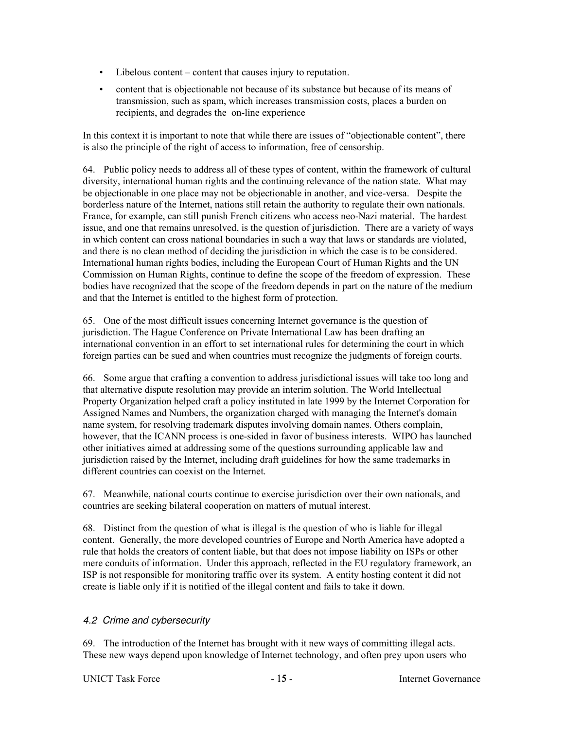- Libelous content content that causes injury to reputation.
- content that is objectionable not because of its substance but because of its means of transmission, such as spam, which increases transmission costs, places a burden on recipients, and degrades the on-line experience

In this context it is important to note that while there are issues of "objectionable content", there is also the principle of the right of access to information, free of censorship.

64. Public policy needs to address all of these types of content, within the framework of cultural diversity, international human rights and the continuing relevance of the nation state. What may be objectionable in one place may not be objectionable in another, and vice-versa. Despite the borderless nature of the Internet, nations still retain the authority to regulate their own nationals. France, for example, can still punish French citizens who access neo-Nazi material. The hardest issue, and one that remains unresolved, is the question of jurisdiction. There are a variety of ways in which content can cross national boundaries in such a way that laws or standards are violated, and there is no clean method of deciding the jurisdiction in which the case is to be considered. International human rights bodies, including the European Court of Human Rights and the UN Commission on Human Rights, continue to define the scope of the freedom of expression. These bodies have recognized that the scope of the freedom depends in part on the nature of the medium and that the Internet is entitled to the highest form of protection.

65. One of the most difficult issues concerning Internet governance is the question of jurisdiction. The Hague Conference on Private International Law has been drafting an international convention in an effort to set international rules for determining the court in which foreign parties can be sued and when countries must recognize the judgments of foreign courts.

66. Some argue that crafting a convention to address jurisdictional issues will take too long and that alternative dispute resolution may provide an interim solution. The World Intellectual Property Organization helped craft a policy instituted in late 1999 by the Internet Corporation for Assigned Names and Numbers, the organization charged with managing the Internet's domain name system, for resolving trademark disputes involving domain names. Others complain, however, that the ICANN process is one-sided in favor of business interests. WIPO has launched other initiatives aimed at addressing some of the questions surrounding applicable law and jurisdiction raised by the Internet, including draft guidelines for how the same trademarks in different countries can coexist on the Internet.

67. Meanwhile, national courts continue to exercise jurisdiction over their own nationals, and countries are seeking bilateral cooperation on matters of mutual interest.

68. Distinct from the question of what is illegal is the question of who is liable for illegal content. Generally, the more developed countries of Europe and North America have adopted a rule that holds the creators of content liable, but that does not impose liability on ISPs or other mere conduits of information. Under this approach, reflected in the EU regulatory framework, an ISP is not responsible for monitoring traffic over its system. A entity hosting content it did not create is liable only if it is notified of the illegal content and fails to take it down.

# 4.2 Crime and cybersecurity

69. The introduction of the Internet has brought with it new ways of committing illegal acts. These new ways depend upon knowledge of Internet technology, and often prey upon users who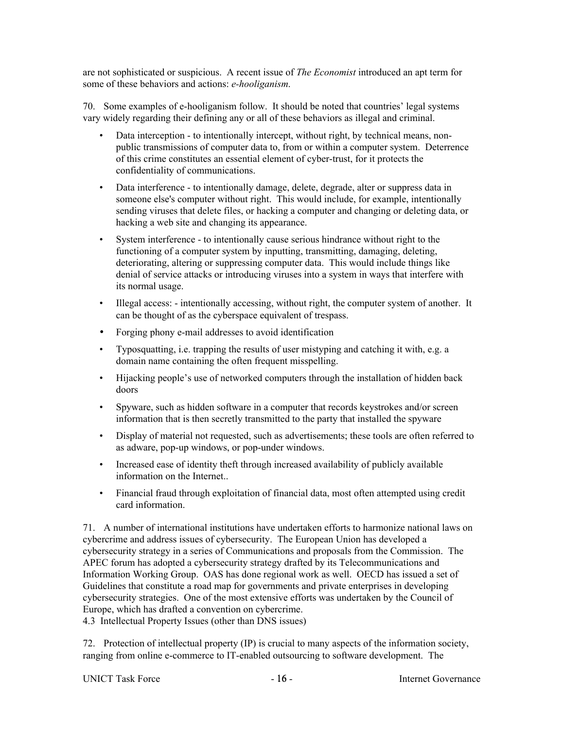are not sophisticated or suspicious. A recent issue of *The Economist* introduced an apt term for some of these behaviors and actions: *e-hooliganism*.

70. Some examples of e-hooliganism follow. It should be noted that countries' legal systems vary widely regarding their defining any or all of these behaviors as illegal and criminal.

- Data interception to intentionally intercept, without right, by technical means, nonpublic transmissions of computer data to, from or within a computer system. Deterrence of this crime constitutes an essential element of cyber-trust, for it protects the confidentiality of communications.
- Data interference to intentionally damage, delete, degrade, alter or suppress data in someone else's computer without right. This would include, for example, intentionally sending viruses that delete files, or hacking a computer and changing or deleting data, or hacking a web site and changing its appearance.
- System interference to intentionally cause serious hindrance without right to the functioning of a computer system by inputting, transmitting, damaging, deleting, deteriorating, altering or suppressing computer data. This would include things like denial of service attacks or introducing viruses into a system in ways that interfere with its normal usage.
- Illegal access: intentionally accessing, without right, the computer system of another. It can be thought of as the cyberspace equivalent of trespass.
- Forging phony e-mail addresses to avoid identification
- Typosquatting, i.e. trapping the results of user mistyping and catching it with, e.g. a domain name containing the often frequent misspelling.
- Hijacking people's use of networked computers through the installation of hidden back doors
- Spyware, such as hidden software in a computer that records keystrokes and/or screen information that is then secretly transmitted to the party that installed the spyware
- Display of material not requested, such as advertisements; these tools are often referred to as adware, pop-up windows, or pop-under windows.
- Increased ease of identity theft through increased availability of publicly available information on the Internet..
- Financial fraud through exploitation of financial data, most often attempted using credit card information.

71. A number of international institutions have undertaken efforts to harmonize national laws on cybercrime and address issues of cybersecurity. The European Union has developed a cybersecurity strategy in a series of Communications and proposals from the Commission. The APEC forum has adopted a cybersecurity strategy drafted by its Telecommunications and Information Working Group. OAS has done regional work as well. OECD has issued a set of Guidelines that constitute a road map for governments and private enterprises in developing cybersecurity strategies. One of the most extensive efforts was undertaken by the Council of Europe, which has drafted a convention on cybercrime.

4.3 Intellectual Property Issues (other than DNS issues)

72. Protection of intellectual property (IP) is crucial to many aspects of the information society, ranging from online e-commerce to IT-enabled outsourcing to software development. The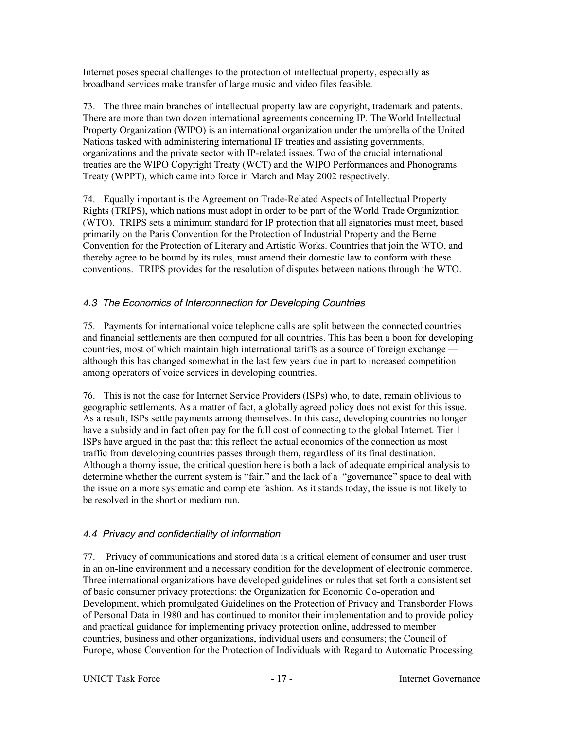Internet poses special challenges to the protection of intellectual property, especially as broadband services make transfer of large music and video files feasible.

73. The three main branches of intellectual property law are copyright, trademark and patents. There are more than two dozen international agreements concerning IP. The World Intellectual Property Organization (WIPO) is an international organization under the umbrella of the United Nations tasked with administering international IP treaties and assisting governments, organizations and the private sector with IP-related issues. Two of the crucial international treaties are the WIPO Copyright Treaty (WCT) and the WIPO Performances and Phonograms Treaty (WPPT), which came into force in March and May 2002 respectively.

74. Equally important is the Agreement on Trade-Related Aspects of Intellectual Property Rights (TRIPS), which nations must adopt in order to be part of the World Trade Organization (WTO). TRIPS sets a minimum standard for IP protection that all signatories must meet, based primarily on the Paris Convention for the Protection of Industrial Property and the Berne Convention for the Protection of Literary and Artistic Works. Countries that join the WTO, and thereby agree to be bound by its rules, must amend their domestic law to conform with these conventions. TRIPS provides for the resolution of disputes between nations through the WTO.

## 4.3 The Economics of Interconnection for Developing Countries

75. Payments for international voice telephone calls are split between the connected countries and financial settlements are then computed for all countries. This has been a boon for developing countries, most of which maintain high international tariffs as a source of foreign exchange although this has changed somewhat in the last few years due in part to increased competition among operators of voice services in developing countries.

76. This is not the case for Internet Service Providers (ISPs) who, to date, remain oblivious to geographic settlements. As a matter of fact, a globally agreed policy does not exist for this issue. As a result, ISPs settle payments among themselves. In this case, developing countries no longer have a subsidy and in fact often pay for the full cost of connecting to the global Internet. Tier 1 ISPs have argued in the past that this reflect the actual economics of the connection as most traffic from developing countries passes through them, regardless of its final destination. Although a thorny issue, the critical question here is both a lack of adequate empirical analysis to determine whether the current system is "fair," and the lack of a "governance" space to deal with the issue on a more systematic and complete fashion. As it stands today, the issue is not likely to be resolved in the short or medium run.

# 4.4 Privacy and confidentiality of information

77. Privacy of communications and stored data is a critical element of consumer and user trust in an on-line environment and a necessary condition for the development of electronic commerce. Three international organizations have developed guidelines or rules that set forth a consistent set of basic consumer privacy protections: the Organization for Economic Co-operation and Development, which promulgated Guidelines on the Protection of Privacy and Transborder Flows of Personal Data in 1980 and has continued to monitor their implementation and to provide policy and practical guidance for implementing privacy protection online, addressed to member countries, business and other organizations, individual users and consumers; the Council of Europe, whose Convention for the Protection of Individuals with Regard to Automatic Processing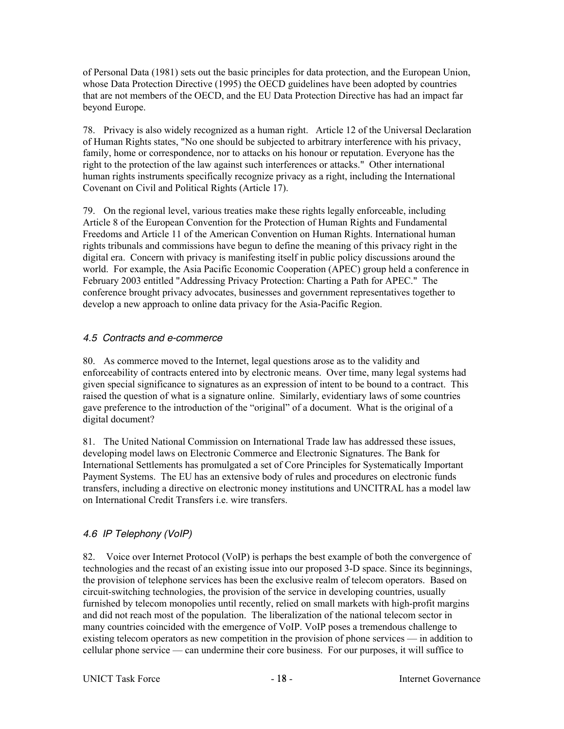of Personal Data (1981) sets out the basic principles for data protection, and the European Union, whose Data Protection Directive (1995) the OECD guidelines have been adopted by countries that are not members of the OECD, and the EU Data Protection Directive has had an impact far beyond Europe.

78. Privacy is also widely recognized as a human right. Article 12 of the Universal Declaration of Human Rights states, "No one should be subjected to arbitrary interference with his privacy, family, home or correspondence, nor to attacks on his honour or reputation. Everyone has the right to the protection of the law against such interferences or attacks." Other international human rights instruments specifically recognize privacy as a right, including the International Covenant on Civil and Political Rights (Article 17).

79. On the regional level, various treaties make these rights legally enforceable, including Article 8 of the European Convention for the Protection of Human Rights and Fundamental Freedoms and Article 11 of the American Convention on Human Rights. International human rights tribunals and commissions have begun to define the meaning of this privacy right in the digital era. Concern with privacy is manifesting itself in public policy discussions around the world. For example, the Asia Pacific Economic Cooperation (APEC) group held a conference in February 2003 entitled "Addressing Privacy Protection: Charting a Path for APEC." The conference brought privacy advocates, businesses and government representatives together to develop a new approach to online data privacy for the Asia-Pacific Region.

### 4.5 Contracts and e-commerce

80. As commerce moved to the Internet, legal questions arose as to the validity and enforceability of contracts entered into by electronic means. Over time, many legal systems had given special significance to signatures as an expression of intent to be bound to a contract. This raised the question of what is a signature online. Similarly, evidentiary laws of some countries gave preference to the introduction of the "original" of a document. What is the original of a digital document?

81. The United National Commission on International Trade law has addressed these issues, developing model laws on Electronic Commerce and Electronic Signatures. The Bank for International Settlements has promulgated a set of Core Principles for Systematically Important Payment Systems. The EU has an extensive body of rules and procedures on electronic funds transfers, including a directive on electronic money institutions and UNCITRAL has a model law on International Credit Transfers i.e. wire transfers.

# 4.6 IP Telephony (VoIP)

82. Voice over Internet Protocol (VoIP) is perhaps the best example of both the convergence of technologies and the recast of an existing issue into our proposed 3-D space. Since its beginnings, the provision of telephone services has been the exclusive realm of telecom operators. Based on circuit-switching technologies, the provision of the service in developing countries, usually furnished by telecom monopolies until recently, relied on small markets with high-profit margins and did not reach most of the population. The liberalization of the national telecom sector in many countries coincided with the emergence of VoIP. VoIP poses a tremendous challenge to existing telecom operators as new competition in the provision of phone services — in addition to cellular phone service — can undermine their core business. For our purposes, it will suffice to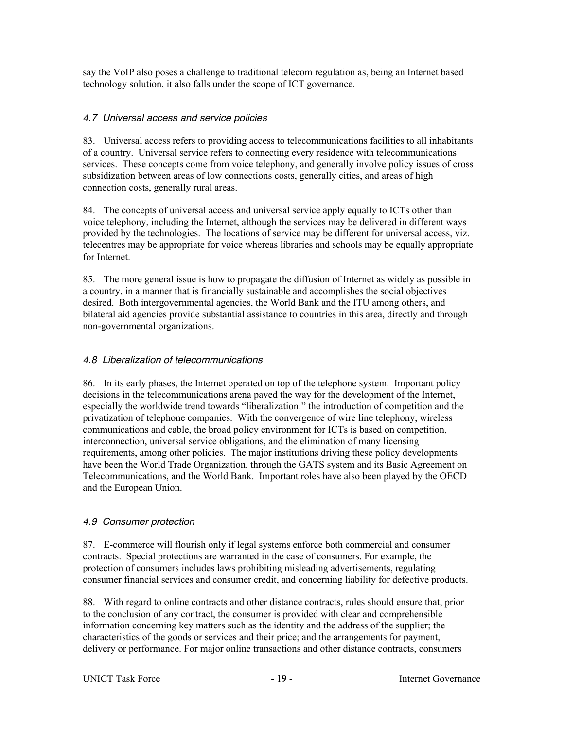say the VoIP also poses a challenge to traditional telecom regulation as, being an Internet based technology solution, it also falls under the scope of ICT governance.

### 4.7 Universal access and service policies

83. Universal access refers to providing access to telecommunications facilities to all inhabitants of a country. Universal service refers to connecting every residence with telecommunications services. These concepts come from voice telephony, and generally involve policy issues of cross subsidization between areas of low connections costs, generally cities, and areas of high connection costs, generally rural areas.

84. The concepts of universal access and universal service apply equally to ICTs other than voice telephony, including the Internet, although the services may be delivered in different ways provided by the technologies. The locations of service may be different for universal access, viz. telecentres may be appropriate for voice whereas libraries and schools may be equally appropriate for Internet.

85. The more general issue is how to propagate the diffusion of Internet as widely as possible in a country, in a manner that is financially sustainable and accomplishes the social objectives desired. Both intergovernmental agencies, the World Bank and the ITU among others, and bilateral aid agencies provide substantial assistance to countries in this area, directly and through non-governmental organizations.

### 4.8 Liberalization of telecommunications

86. In its early phases, the Internet operated on top of the telephone system. Important policy decisions in the telecommunications arena paved the way for the development of the Internet, especially the worldwide trend towards "liberalization:" the introduction of competition and the privatization of telephone companies. With the convergence of wire line telephony, wireless communications and cable, the broad policy environment for ICTs is based on competition, interconnection, universal service obligations, and the elimination of many licensing requirements, among other policies. The major institutions driving these policy developments have been the World Trade Organization, through the GATS system and its Basic Agreement on Telecommunications, and the World Bank. Important roles have also been played by the OECD and the European Union.

### 4.9 Consumer protection

87. E-commerce will flourish only if legal systems enforce both commercial and consumer contracts. Special protections are warranted in the case of consumers. For example, the protection of consumers includes laws prohibiting misleading advertisements, regulating consumer financial services and consumer credit, and concerning liability for defective products.

88. With regard to online contracts and other distance contracts, rules should ensure that, prior to the conclusion of any contract, the consumer is provided with clear and comprehensible information concerning key matters such as the identity and the address of the supplier; the characteristics of the goods or services and their price; and the arrangements for payment, delivery or performance. For major online transactions and other distance contracts, consumers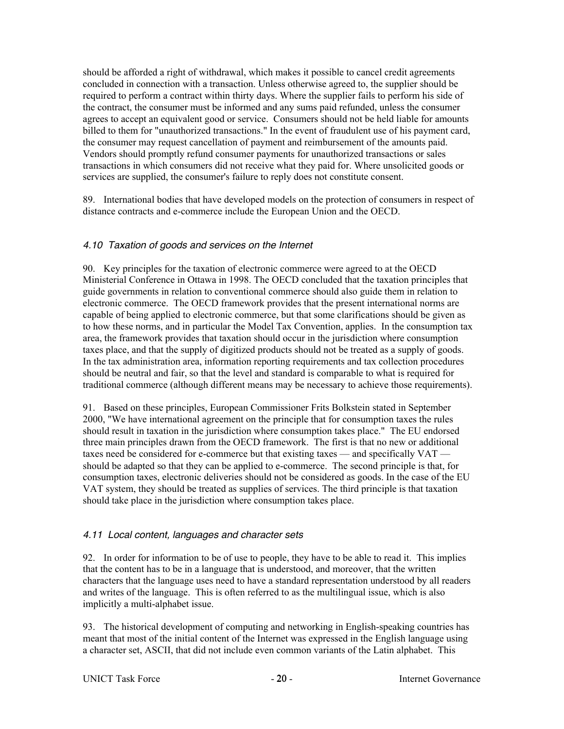should be afforded a right of withdrawal, which makes it possible to cancel credit agreements concluded in connection with a transaction. Unless otherwise agreed to, the supplier should be required to perform a contract within thirty days. Where the supplier fails to perform his side of the contract, the consumer must be informed and any sums paid refunded, unless the consumer agrees to accept an equivalent good or service. Consumers should not be held liable for amounts billed to them for "unauthorized transactions." In the event of fraudulent use of his payment card, the consumer may request cancellation of payment and reimbursement of the amounts paid. Vendors should promptly refund consumer payments for unauthorized transactions or sales transactions in which consumers did not receive what they paid for. Where unsolicited goods or services are supplied, the consumer's failure to reply does not constitute consent.

89. International bodies that have developed models on the protection of consumers in respect of distance contracts and e-commerce include the European Union and the OECD.

## 4.10 Taxation of goods and services on the Internet

90. Key principles for the taxation of electronic commerce were agreed to at the OECD Ministerial Conference in Ottawa in 1998. The OECD concluded that the taxation principles that guide governments in relation to conventional commerce should also guide them in relation to electronic commerce. The OECD framework provides that the present international norms are capable of being applied to electronic commerce, but that some clarifications should be given as to how these norms, and in particular the Model Tax Convention, applies. In the consumption tax area, the framework provides that taxation should occur in the jurisdiction where consumption taxes place, and that the supply of digitized products should not be treated as a supply of goods. In the tax administration area, information reporting requirements and tax collection procedures should be neutral and fair, so that the level and standard is comparable to what is required for traditional commerce (although different means may be necessary to achieve those requirements).

91. Based on these principles, European Commissioner Frits Bolkstein stated in September 2000, "We have international agreement on the principle that for consumption taxes the rules should result in taxation in the jurisdiction where consumption takes place." The EU endorsed three main principles drawn from the OECD framework. The first is that no new or additional taxes need be considered for e-commerce but that existing taxes — and specifically VAT should be adapted so that they can be applied to e-commerce. The second principle is that, for consumption taxes, electronic deliveries should not be considered as goods. In the case of the EU VAT system, they should be treated as supplies of services. The third principle is that taxation should take place in the jurisdiction where consumption takes place.

### 4.11 Local content, languages and character sets

92. In order for information to be of use to people, they have to be able to read it. This implies that the content has to be in a language that is understood, and moreover, that the written characters that the language uses need to have a standard representation understood by all readers and writes of the language. This is often referred to as the multilingual issue, which is also implicitly a multi-alphabet issue.

93. The historical development of computing and networking in English-speaking countries has meant that most of the initial content of the Internet was expressed in the English language using a character set, ASCII, that did not include even common variants of the Latin alphabet. This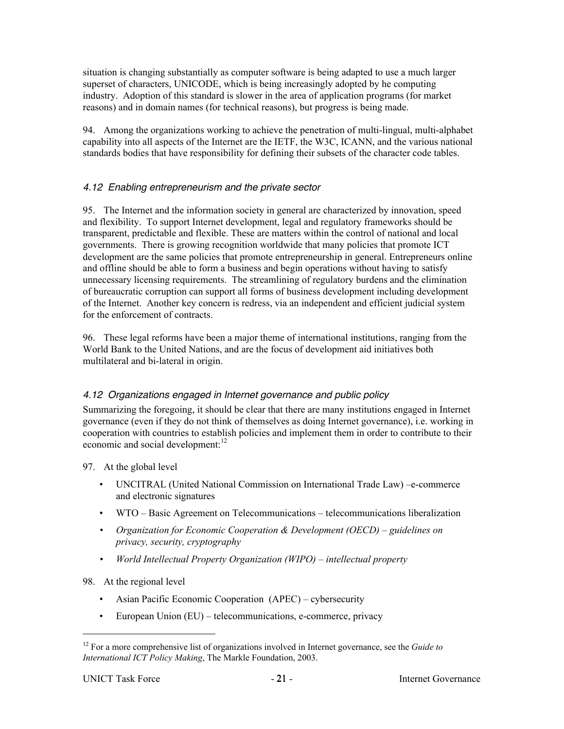situation is changing substantially as computer software is being adapted to use a much larger superset of characters, UNICODE, which is being increasingly adopted by he computing industry. Adoption of this standard is slower in the area of application programs (for market reasons) and in domain names (for technical reasons), but progress is being made.

94. Among the organizations working to achieve the penetration of multi-lingual, multi-alphabet capability into all aspects of the Internet are the IETF, the W3C, ICANN, and the various national standards bodies that have responsibility for defining their subsets of the character code tables.

## 4.12 Enabling entrepreneurism and the private sector

95. The Internet and the information society in general are characterized by innovation, speed and flexibility. To support Internet development, legal and regulatory frameworks should be transparent, predictable and flexible. These are matters within the control of national and local governments. There is growing recognition worldwide that many policies that promote ICT development are the same policies that promote entrepreneurship in general. Entrepreneurs online and offline should be able to form a business and begin operations without having to satisfy unnecessary licensing requirements. The streamlining of regulatory burdens and the elimination of bureaucratic corruption can support all forms of business development including development of the Internet. Another key concern is redress, via an independent and efficient judicial system for the enforcement of contracts.

96. These legal reforms have been a major theme of international institutions, ranging from the World Bank to the United Nations, and are the focus of development aid initiatives both multilateral and bi-lateral in origin.

### 4.12 Organizations engaged in Internet governance and public policy

Summarizing the foregoing, it should be clear that there are many institutions engaged in Internet governance (even if they do not think of themselves as doing Internet governance), i.e. working in cooperation with countries to establish policies and implement them in order to contribute to their economic and social development:<sup>12</sup>

97. At the global level

- UNCITRAL (United National Commission on International Trade Law) –e-commerce and electronic signatures
- WTO Basic Agreement on Telecommunications telecommunications liberalization
- *• Organization for Economic Cooperation & Development (OECD) guidelines on privacy, security, cryptography*
- *• World Intellectual Property Organization (WIPO) intellectual property*
- 98. At the regional level
	- Asian Pacific Economic Cooperation (APEC) cybersecurity
	- European Union (EU) telecommunications, e-commerce, privacy

 <sup>12</sup> For a more comprehensive list of organizations involved in Internet governance, see the *Guide to International ICT Policy Making*, The Markle Foundation, 2003.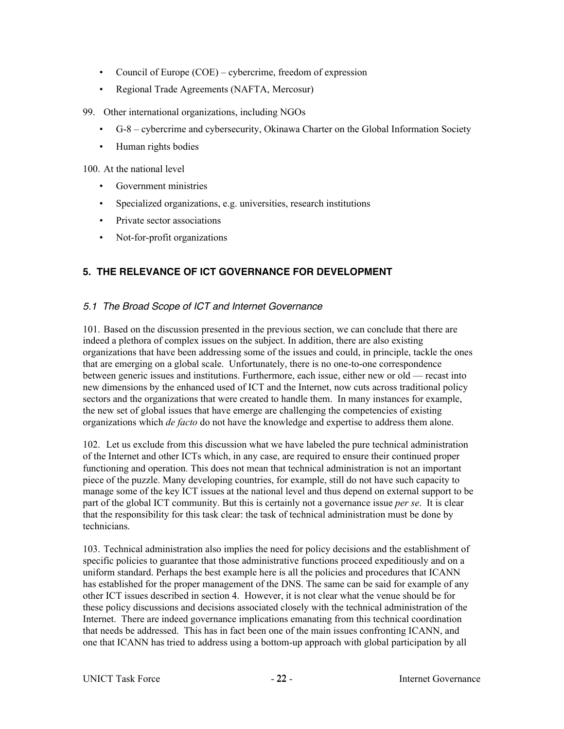- Council of Europe (COE) cybercrime, freedom of expression
- Regional Trade Agreements (NAFTA, Mercosur)
- 99. Other international organizations, including NGOs
	- G-8 cybercrime and cybersecurity, Okinawa Charter on the Global Information Society
	- Human rights bodies

100. At the national level

- Government ministries
- Specialized organizations, e.g. universities, research institutions
- Private sector associations
- Not-for-profit organizations

## **5. THE RELEVANCE OF ICT GOVERNANCE FOR DEVELOPMENT**

### 5.1 The Broad Scope of ICT and Internet Governance

101. Based on the discussion presented in the previous section, we can conclude that there are indeed a plethora of complex issues on the subject. In addition, there are also existing organizations that have been addressing some of the issues and could, in principle, tackle the ones that are emerging on a global scale. Unfortunately, there is no one-to-one correspondence between generic issues and institutions. Furthermore, each issue, either new or old — recast into new dimensions by the enhanced used of ICT and the Internet, now cuts across traditional policy sectors and the organizations that were created to handle them. In many instances for example, the new set of global issues that have emerge are challenging the competencies of existing organizations which *de facto* do not have the knowledge and expertise to address them alone.

102. Let us exclude from this discussion what we have labeled the pure technical administration of the Internet and other ICTs which, in any case, are required to ensure their continued proper functioning and operation. This does not mean that technical administration is not an important piece of the puzzle. Many developing countries, for example, still do not have such capacity to manage some of the key ICT issues at the national level and thus depend on external support to be part of the global ICT community. But this is certainly not a governance issue *per se*. It is clear that the responsibility for this task clear: the task of technical administration must be done by technicians.

103. Technical administration also implies the need for policy decisions and the establishment of specific policies to guarantee that those administrative functions proceed expeditiously and on a uniform standard. Perhaps the best example here is all the policies and procedures that ICANN has established for the proper management of the DNS. The same can be said for example of any other ICT issues described in section 4. However, it is not clear what the venue should be for these policy discussions and decisions associated closely with the technical administration of the Internet. There are indeed governance implications emanating from this technical coordination that needs be addressed. This has in fact been one of the main issues confronting ICANN, and one that ICANN has tried to address using a bottom-up approach with global participation by all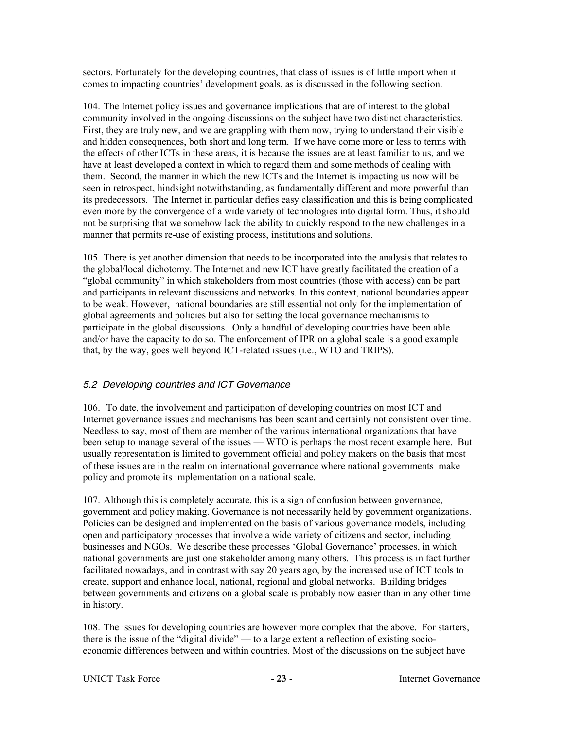sectors. Fortunately for the developing countries, that class of issues is of little import when it comes to impacting countries' development goals, as is discussed in the following section.

104. The Internet policy issues and governance implications that are of interest to the global community involved in the ongoing discussions on the subject have two distinct characteristics. First, they are truly new, and we are grappling with them now, trying to understand their visible and hidden consequences, both short and long term. If we have come more or less to terms with the effects of other ICTs in these areas, it is because the issues are at least familiar to us, and we have at least developed a context in which to regard them and some methods of dealing with them. Second, the manner in which the new ICTs and the Internet is impacting us now will be seen in retrospect, hindsight notwithstanding, as fundamentally different and more powerful than its predecessors. The Internet in particular defies easy classification and this is being complicated even more by the convergence of a wide variety of technologies into digital form. Thus, it should not be surprising that we somehow lack the ability to quickly respond to the new challenges in a manner that permits re-use of existing process, institutions and solutions.

105. There is yet another dimension that needs to be incorporated into the analysis that relates to the global/local dichotomy. The Internet and new ICT have greatly facilitated the creation of a "global community" in which stakeholders from most countries (those with access) can be part and participants in relevant discussions and networks. In this context, national boundaries appear to be weak. However, national boundaries are still essential not only for the implementation of global agreements and policies but also for setting the local governance mechanisms to participate in the global discussions. Only a handful of developing countries have been able and/or have the capacity to do so. The enforcement of IPR on a global scale is a good example that, by the way, goes well beyond ICT-related issues (i.e., WTO and TRIPS).

### 5.2 Developing countries and ICT Governance

106. To date, the involvement and participation of developing countries on most ICT and Internet governance issues and mechanisms has been scant and certainly not consistent over time. Needless to say, most of them are member of the various international organizations that have been setup to manage several of the issues — WTO is perhaps the most recent example here. But usually representation is limited to government official and policy makers on the basis that most of these issues are in the realm on international governance where national governments make policy and promote its implementation on a national scale.

107. Although this is completely accurate, this is a sign of confusion between governance, government and policy making. Governance is not necessarily held by government organizations. Policies can be designed and implemented on the basis of various governance models, including open and participatory processes that involve a wide variety of citizens and sector, including businesses and NGOs. We describe these processes 'Global Governance' processes, in which national governments are just one stakeholder among many others. This process is in fact further facilitated nowadays, and in contrast with say 20 years ago, by the increased use of ICT tools to create, support and enhance local, national, regional and global networks. Building bridges between governments and citizens on a global scale is probably now easier than in any other time in history.

108. The issues for developing countries are however more complex that the above. For starters, there is the issue of the "digital divide" — to a large extent a reflection of existing socioeconomic differences between and within countries. Most of the discussions on the subject have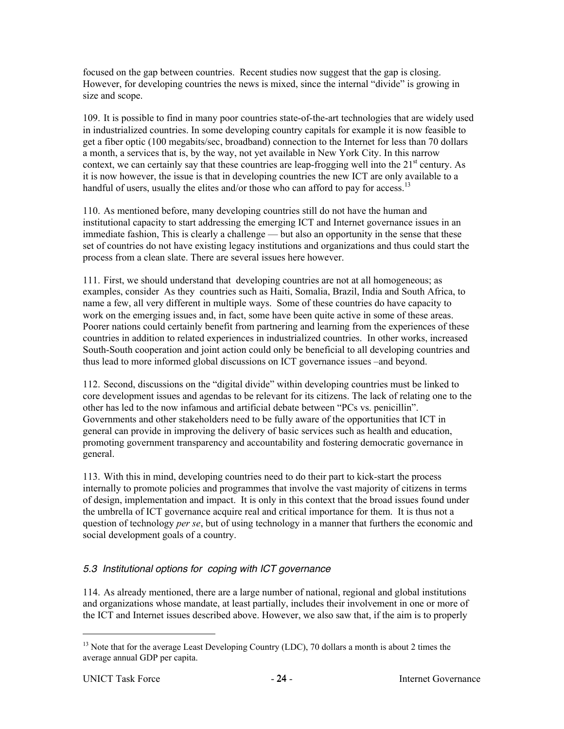focused on the gap between countries. Recent studies now suggest that the gap is closing. However, for developing countries the news is mixed, since the internal "divide" is growing in size and scope.

109. It is possible to find in many poor countries state-of-the-art technologies that are widely used in industrialized countries. In some developing country capitals for example it is now feasible to get a fiber optic (100 megabits/sec, broadband) connection to the Internet for less than 70 dollars a month, a services that is, by the way, not yet available in New York City. In this narrow context, we can certainly say that these countries are leap-frogging well into the  $21<sup>st</sup>$  century. As it is now however, the issue is that in developing countries the new ICT are only available to a handful of users, usually the elites and/or those who can afford to pay for access.<sup>13</sup>

110. As mentioned before, many developing countries still do not have the human and institutional capacity to start addressing the emerging ICT and Internet governance issues in an immediate fashion, This is clearly a challenge — but also an opportunity in the sense that these set of countries do not have existing legacy institutions and organizations and thus could start the process from a clean slate. There are several issues here however.

111. First, we should understand that developing countries are not at all homogeneous; as examples, consider As they countries such as Haiti, Somalia, Brazil, India and South Africa, to name a few, all very different in multiple ways. Some of these countries do have capacity to work on the emerging issues and, in fact, some have been quite active in some of these areas. Poorer nations could certainly benefit from partnering and learning from the experiences of these countries in addition to related experiences in industrialized countries. In other works, increased South-South cooperation and joint action could only be beneficial to all developing countries and thus lead to more informed global discussions on ICT governance issues –and beyond.

112. Second, discussions on the "digital divide" within developing countries must be linked to core development issues and agendas to be relevant for its citizens. The lack of relating one to the other has led to the now infamous and artificial debate between "PCs vs. penicillin". Governments and other stakeholders need to be fully aware of the opportunities that ICT in general can provide in improving the delivery of basic services such as health and education, promoting government transparency and accountability and fostering democratic governance in general.

113. With this in mind, developing countries need to do their part to kick-start the process internally to promote policies and programmes that involve the vast majority of citizens in terms of design, implementation and impact. It is only in this context that the broad issues found under the umbrella of ICT governance acquire real and critical importance for them. It is thus not a question of technology *per se*, but of using technology in a manner that furthers the economic and social development goals of a country.

# 5.3 Institutional options for coping with ICT governance

114. As already mentioned, there are a large number of national, regional and global institutions and organizations whose mandate, at least partially, includes their involvement in one or more of the ICT and Internet issues described above. However, we also saw that, if the aim is to properly

<sup>&</sup>lt;sup>13</sup> Note that for the average Least Developing Country (LDC), 70 dollars a month is about 2 times the average annual GDP per capita.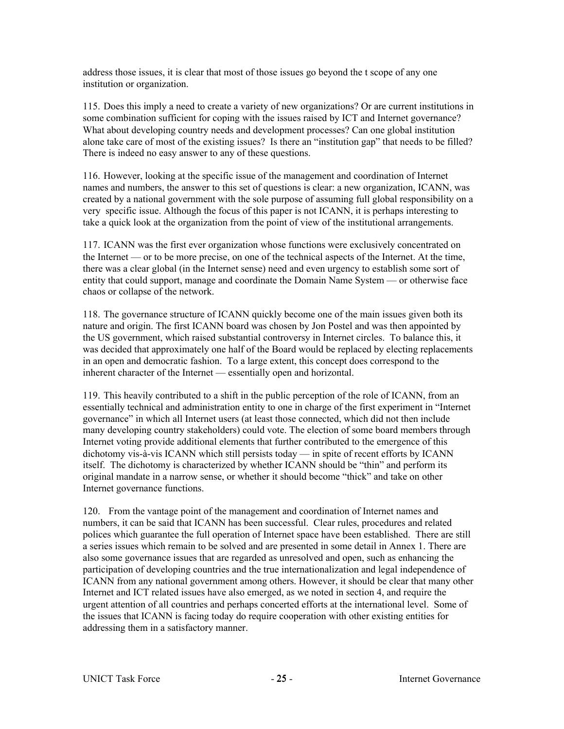address those issues, it is clear that most of those issues go beyond the t scope of any one institution or organization.

115. Does this imply a need to create a variety of new organizations? Or are current institutions in some combination sufficient for coping with the issues raised by ICT and Internet governance? What about developing country needs and development processes? Can one global institution alone take care of most of the existing issues? Is there an "institution gap" that needs to be filled? There is indeed no easy answer to any of these questions.

116. However, looking at the specific issue of the management and coordination of Internet names and numbers, the answer to this set of questions is clear: a new organization, ICANN, was created by a national government with the sole purpose of assuming full global responsibility on a very specific issue. Although the focus of this paper is not ICANN, it is perhaps interesting to take a quick look at the organization from the point of view of the institutional arrangements.

117. ICANN was the first ever organization whose functions were exclusively concentrated on the Internet — or to be more precise, on one of the technical aspects of the Internet. At the time, there was a clear global (in the Internet sense) need and even urgency to establish some sort of entity that could support, manage and coordinate the Domain Name System — or otherwise face chaos or collapse of the network.

118. The governance structure of ICANN quickly become one of the main issues given both its nature and origin. The first ICANN board was chosen by Jon Postel and was then appointed by the US government, which raised substantial controversy in Internet circles. To balance this, it was decided that approximately one half of the Board would be replaced by electing replacements in an open and democratic fashion. To a large extent, this concept does correspond to the inherent character of the Internet — essentially open and horizontal.

119. This heavily contributed to a shift in the public perception of the role of ICANN, from an essentially technical and administration entity to one in charge of the first experiment in "Internet governance" in which all Internet users (at least those connected, which did not then include many developing country stakeholders) could vote. The election of some board members through Internet voting provide additional elements that further contributed to the emergence of this dichotomy vis-à-vis ICANN which still persists today — in spite of recent efforts by ICANN itself. The dichotomy is characterized by whether ICANN should be "thin" and perform its original mandate in a narrow sense, or whether it should become "thick" and take on other Internet governance functions.

120. From the vantage point of the management and coordination of Internet names and numbers, it can be said that ICANN has been successful. Clear rules, procedures and related polices which guarantee the full operation of Internet space have been established. There are still a series issues which remain to be solved and are presented in some detail in Annex 1. There are also some governance issues that are regarded as unresolved and open, such as enhancing the participation of developing countries and the true internationalization and legal independence of ICANN from any national government among others. However, it should be clear that many other Internet and ICT related issues have also emerged, as we noted in section 4, and require the urgent attention of all countries and perhaps concerted efforts at the international level. Some of the issues that ICANN is facing today do require cooperation with other existing entities for addressing them in a satisfactory manner.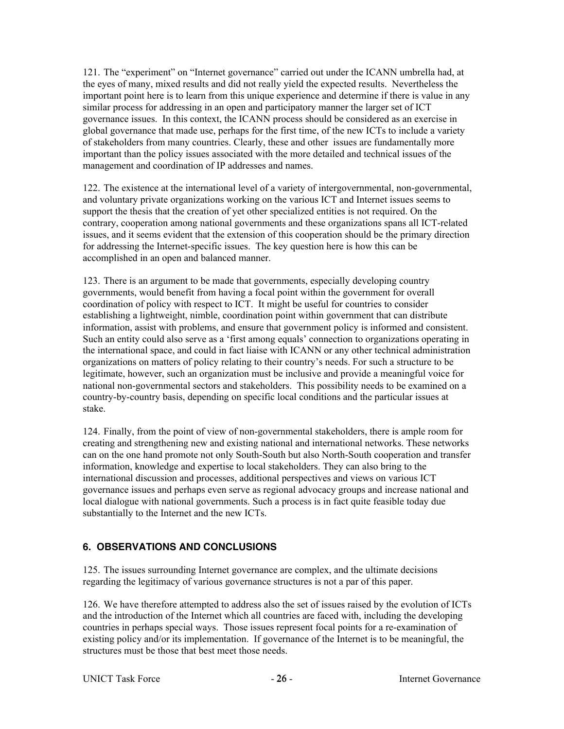121. The "experiment" on "Internet governance" carried out under the ICANN umbrella had, at the eyes of many, mixed results and did not really yield the expected results. Nevertheless the important point here is to learn from this unique experience and determine if there is value in any similar process for addressing in an open and participatory manner the larger set of ICT governance issues. In this context, the ICANN process should be considered as an exercise in global governance that made use, perhaps for the first time, of the new ICTs to include a variety of stakeholders from many countries. Clearly, these and other issues are fundamentally more important than the policy issues associated with the more detailed and technical issues of the management and coordination of IP addresses and names.

122. The existence at the international level of a variety of intergovernmental, non-governmental, and voluntary private organizations working on the various ICT and Internet issues seems to support the thesis that the creation of yet other specialized entities is not required. On the contrary, cooperation among national governments and these organizations spans all ICT-related issues, and it seems evident that the extension of this cooperation should be the primary direction for addressing the Internet-specific issues. The key question here is how this can be accomplished in an open and balanced manner.

123. There is an argument to be made that governments, especially developing country governments, would benefit from having a focal point within the government for overall coordination of policy with respect to ICT. It might be useful for countries to consider establishing a lightweight, nimble, coordination point within government that can distribute information, assist with problems, and ensure that government policy is informed and consistent. Such an entity could also serve as a 'first among equals' connection to organizations operating in the international space, and could in fact liaise with ICANN or any other technical administration organizations on matters of policy relating to their country's needs. For such a structure to be legitimate, however, such an organization must be inclusive and provide a meaningful voice for national non-governmental sectors and stakeholders. This possibility needs to be examined on a country-by-country basis, depending on specific local conditions and the particular issues at stake.

124. Finally, from the point of view of non-governmental stakeholders, there is ample room for creating and strengthening new and existing national and international networks. These networks can on the one hand promote not only South-South but also North-South cooperation and transfer information, knowledge and expertise to local stakeholders. They can also bring to the international discussion and processes, additional perspectives and views on various ICT governance issues and perhaps even serve as regional advocacy groups and increase national and local dialogue with national governments. Such a process is in fact quite feasible today due substantially to the Internet and the new ICTs.

# **6. OBSERVATIONS AND CONCLUSIONS**

125. The issues surrounding Internet governance are complex, and the ultimate decisions regarding the legitimacy of various governance structures is not a par of this paper.

126. We have therefore attempted to address also the set of issues raised by the evolution of ICTs and the introduction of the Internet which all countries are faced with, including the developing countries in perhaps special ways. Those issues represent focal points for a re-examination of existing policy and/or its implementation. If governance of the Internet is to be meaningful, the structures must be those that best meet those needs.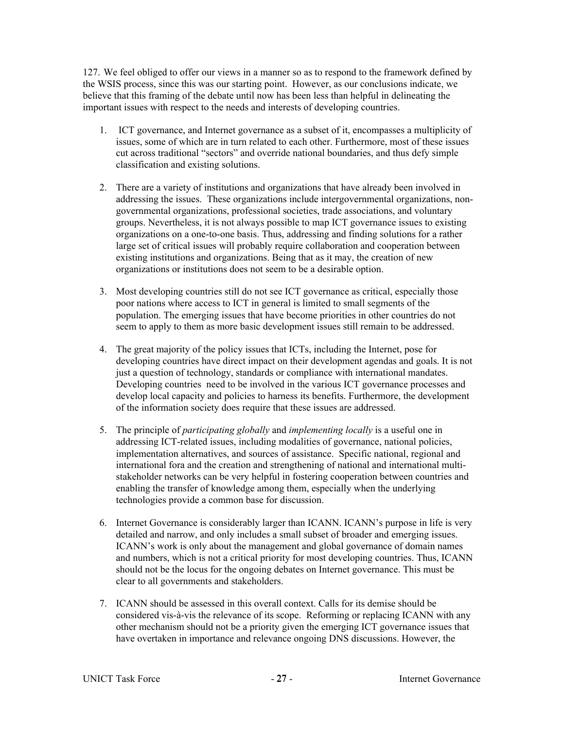127. We feel obliged to offer our views in a manner so as to respond to the framework defined by the WSIS process, since this was our starting point. However, as our conclusions indicate, we believe that this framing of the debate until now has been less than helpful in delineating the important issues with respect to the needs and interests of developing countries.

- 1. ICT governance, and Internet governance as a subset of it, encompasses a multiplicity of issues, some of which are in turn related to each other. Furthermore, most of these issues cut across traditional "sectors" and override national boundaries, and thus defy simple classification and existing solutions.
- 2. There are a variety of institutions and organizations that have already been involved in addressing the issues. These organizations include intergovernmental organizations, nongovernmental organizations, professional societies, trade associations, and voluntary groups. Nevertheless, it is not always possible to map ICT governance issues to existing organizations on a one-to-one basis. Thus, addressing and finding solutions for a rather large set of critical issues will probably require collaboration and cooperation between existing institutions and organizations. Being that as it may, the creation of new organizations or institutions does not seem to be a desirable option.
- 3. Most developing countries still do not see ICT governance as critical, especially those poor nations where access to ICT in general is limited to small segments of the population. The emerging issues that have become priorities in other countries do not seem to apply to them as more basic development issues still remain to be addressed.
- 4. The great majority of the policy issues that ICTs, including the Internet, pose for developing countries have direct impact on their development agendas and goals. It is not just a question of technology, standards or compliance with international mandates. Developing countries need to be involved in the various ICT governance processes and develop local capacity and policies to harness its benefits. Furthermore, the development of the information society does require that these issues are addressed.
- 5. The principle of *participating globally* and *implementing locally* is a useful one in addressing ICT-related issues, including modalities of governance, national policies, implementation alternatives, and sources of assistance. Specific national, regional and international fora and the creation and strengthening of national and international multistakeholder networks can be very helpful in fostering cooperation between countries and enabling the transfer of knowledge among them, especially when the underlying technologies provide a common base for discussion.
- 6. Internet Governance is considerably larger than ICANN. ICANN's purpose in life is very detailed and narrow, and only includes a small subset of broader and emerging issues. ICANN's work is only about the management and global governance of domain names and numbers, which is not a critical priority for most developing countries. Thus, ICANN should not be the locus for the ongoing debates on Internet governance. This must be clear to all governments and stakeholders.
- 7. ICANN should be assessed in this overall context. Calls for its demise should be considered vis-à-vis the relevance of its scope. Reforming or replacing ICANN with any other mechanism should not be a priority given the emerging ICT governance issues that have overtaken in importance and relevance ongoing DNS discussions. However, the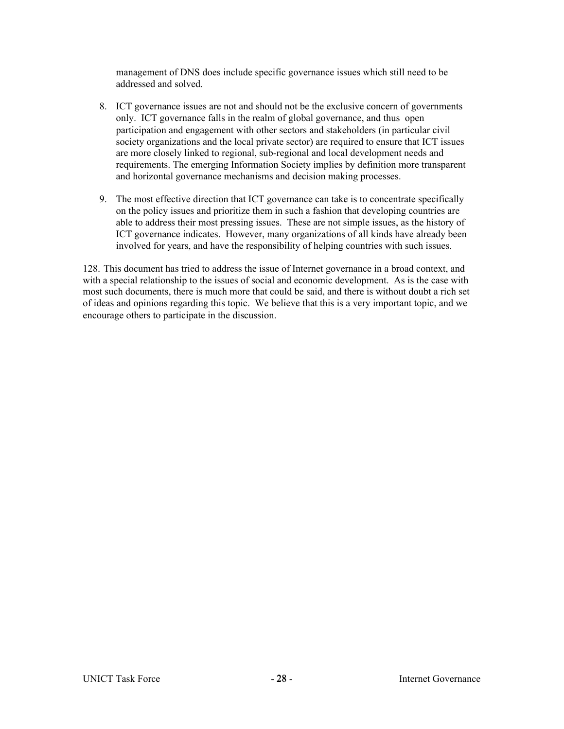management of DNS does include specific governance issues which still need to be addressed and solved.

- 8. ICT governance issues are not and should not be the exclusive concern of governments only. ICT governance falls in the realm of global governance, and thus open participation and engagement with other sectors and stakeholders (in particular civil society organizations and the local private sector) are required to ensure that ICT issues are more closely linked to regional, sub-regional and local development needs and requirements. The emerging Information Society implies by definition more transparent and horizontal governance mechanisms and decision making processes.
- 9. The most effective direction that ICT governance can take is to concentrate specifically on the policy issues and prioritize them in such a fashion that developing countries are able to address their most pressing issues. These are not simple issues, as the history of ICT governance indicates. However, many organizations of all kinds have already been involved for years, and have the responsibility of helping countries with such issues.

128. This document has tried to address the issue of Internet governance in a broad context, and with a special relationship to the issues of social and economic development. As is the case with most such documents, there is much more that could be said, and there is without doubt a rich set of ideas and opinions regarding this topic. We believe that this is a very important topic, and we encourage others to participate in the discussion.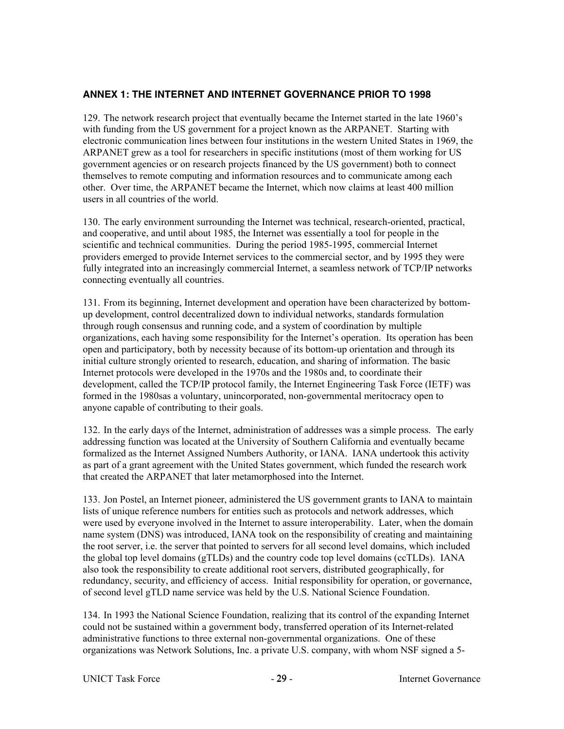## **ANNEX 1: THE INTERNET AND INTERNET GOVERNANCE PRIOR TO 1998**

129. The network research project that eventually became the Internet started in the late 1960's with funding from the US government for a project known as the ARPANET. Starting with electronic communication lines between four institutions in the western United States in 1969, the ARPANET grew as a tool for researchers in specific institutions (most of them working for US government agencies or on research projects financed by the US government) both to connect themselves to remote computing and information resources and to communicate among each other. Over time, the ARPANET became the Internet, which now claims at least 400 million users in all countries of the world.

130. The early environment surrounding the Internet was technical, research-oriented, practical, and cooperative, and until about 1985, the Internet was essentially a tool for people in the scientific and technical communities. During the period 1985-1995, commercial Internet providers emerged to provide Internet services to the commercial sector, and by 1995 they were fully integrated into an increasingly commercial Internet, a seamless network of TCP/IP networks connecting eventually all countries.

131. From its beginning, Internet development and operation have been characterized by bottomup development, control decentralized down to individual networks, standards formulation through rough consensus and running code, and a system of coordination by multiple organizations, each having some responsibility for the Internet's operation. Its operation has been open and participatory, both by necessity because of its bottom-up orientation and through its initial culture strongly oriented to research, education, and sharing of information. The basic Internet protocols were developed in the 1970s and the 1980s and, to coordinate their development, called the TCP/IP protocol family, the Internet Engineering Task Force (IETF) was formed in the 1980sas a voluntary, unincorporated, non-governmental meritocracy open to anyone capable of contributing to their goals.

132. In the early days of the Internet, administration of addresses was a simple process. The early addressing function was located at the University of Southern California and eventually became formalized as the Internet Assigned Numbers Authority, or IANA. IANA undertook this activity as part of a grant agreement with the United States government, which funded the research work that created the ARPANET that later metamorphosed into the Internet.

133. Jon Postel, an Internet pioneer, administered the US government grants to IANA to maintain lists of unique reference numbers for entities such as protocols and network addresses, which were used by everyone involved in the Internet to assure interoperability. Later, when the domain name system (DNS) was introduced, IANA took on the responsibility of creating and maintaining the root server, i.e. the server that pointed to servers for all second level domains, which included the global top level domains (gTLDs) and the country code top level domains (ccTLDs). IANA also took the responsibility to create additional root servers, distributed geographically, for redundancy, security, and efficiency of access. Initial responsibility for operation, or governance, of second level gTLD name service was held by the U.S. National Science Foundation.

134. In 1993 the National Science Foundation, realizing that its control of the expanding Internet could not be sustained within a government body, transferred operation of its Internet-related administrative functions to three external non-governmental organizations. One of these organizations was Network Solutions, Inc. a private U.S. company, with whom NSF signed a 5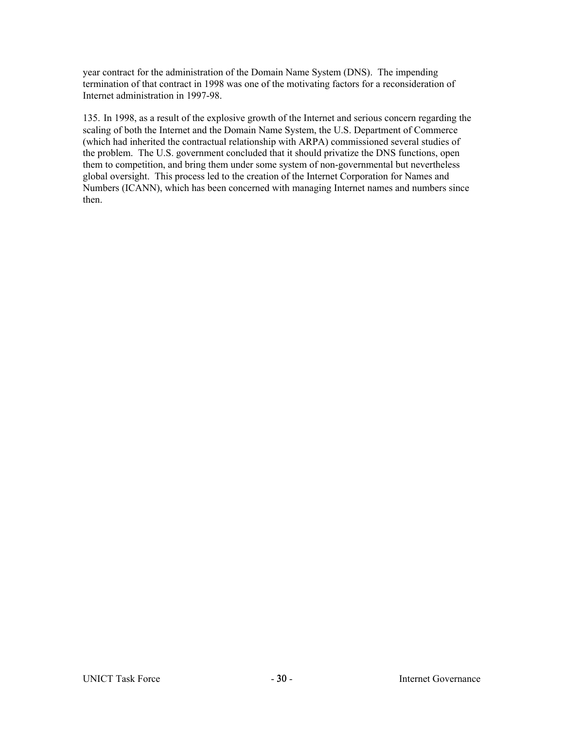year contract for the administration of the Domain Name System (DNS). The impending termination of that contract in 1998 was one of the motivating factors for a reconsideration of Internet administration in 1997-98.

135. In 1998, as a result of the explosive growth of the Internet and serious concern regarding the scaling of both the Internet and the Domain Name System, the U.S. Department of Commerce (which had inherited the contractual relationship with ARPA) commissioned several studies of the problem. The U.S. government concluded that it should privatize the DNS functions, open them to competition, and bring them under some system of non-governmental but nevertheless global oversight. This process led to the creation of the Internet Corporation for Names and Numbers (ICANN), which has been concerned with managing Internet names and numbers since then.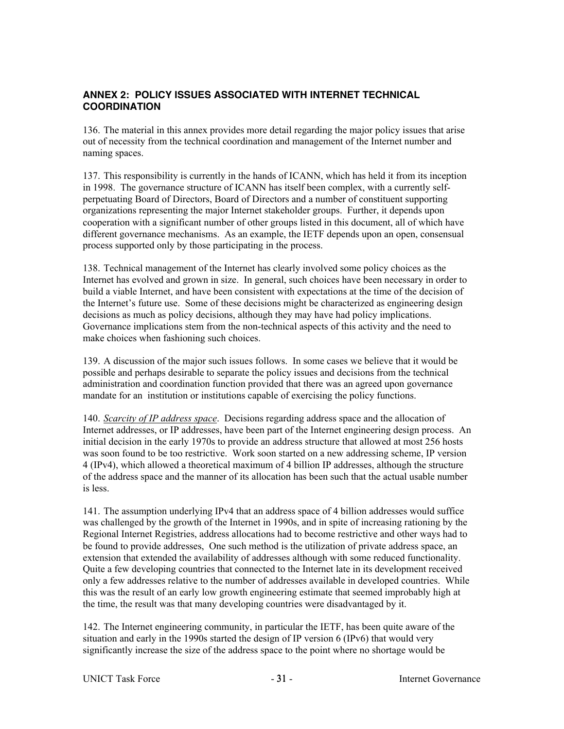## **ANNEX 2: POLICY ISSUES ASSOCIATED WITH INTERNET TECHNICAL COORDINATION**

136. The material in this annex provides more detail regarding the major policy issues that arise out of necessity from the technical coordination and management of the Internet number and naming spaces.

137. This responsibility is currently in the hands of ICANN, which has held it from its inception in 1998. The governance structure of ICANN has itself been complex, with a currently selfperpetuating Board of Directors, Board of Directors and a number of constituent supporting organizations representing the major Internet stakeholder groups. Further, it depends upon cooperation with a significant number of other groups listed in this document, all of which have different governance mechanisms. As an example, the IETF depends upon an open, consensual process supported only by those participating in the process.

138. Technical management of the Internet has clearly involved some policy choices as the Internet has evolved and grown in size. In general, such choices have been necessary in order to build a viable Internet, and have been consistent with expectations at the time of the decision of the Internet's future use. Some of these decisions might be characterized as engineering design decisions as much as policy decisions, although they may have had policy implications. Governance implications stem from the non-technical aspects of this activity and the need to make choices when fashioning such choices.

139. A discussion of the major such issues follows. In some cases we believe that it would be possible and perhaps desirable to separate the policy issues and decisions from the technical administration and coordination function provided that there was an agreed upon governance mandate for an institution or institutions capable of exercising the policy functions.

140. *Scarcity of IP address space*. Decisions regarding address space and the allocation of Internet addresses, or IP addresses, have been part of the Internet engineering design process. An initial decision in the early 1970s to provide an address structure that allowed at most 256 hosts was soon found to be too restrictive. Work soon started on a new addressing scheme, IP version 4 (IPv4), which allowed a theoretical maximum of 4 billion IP addresses, although the structure of the address space and the manner of its allocation has been such that the actual usable number is less.

141. The assumption underlying IPv4 that an address space of 4 billion addresses would suffice was challenged by the growth of the Internet in 1990s, and in spite of increasing rationing by the Regional Internet Registries, address allocations had to become restrictive and other ways had to be found to provide addresses, One such method is the utilization of private address space, an extension that extended the availability of addresses although with some reduced functionality. Quite a few developing countries that connected to the Internet late in its development received only a few addresses relative to the number of addresses available in developed countries. While this was the result of an early low growth engineering estimate that seemed improbably high at the time, the result was that many developing countries were disadvantaged by it.

142. The Internet engineering community, in particular the IETF, has been quite aware of the situation and early in the 1990s started the design of IP version 6 (IPv6) that would very significantly increase the size of the address space to the point where no shortage would be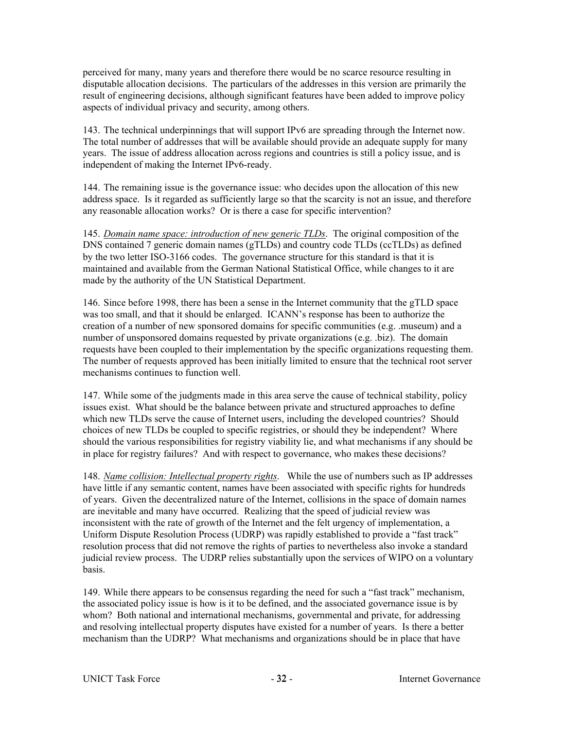perceived for many, many years and therefore there would be no scarce resource resulting in disputable allocation decisions. The particulars of the addresses in this version are primarily the result of engineering decisions, although significant features have been added to improve policy aspects of individual privacy and security, among others.

143. The technical underpinnings that will support IPv6 are spreading through the Internet now. The total number of addresses that will be available should provide an adequate supply for many years. The issue of address allocation across regions and countries is still a policy issue, and is independent of making the Internet IPv6-ready.

144. The remaining issue is the governance issue: who decides upon the allocation of this new address space. Is it regarded as sufficiently large so that the scarcity is not an issue, and therefore any reasonable allocation works? Or is there a case for specific intervention?

145. *Domain name space: introduction of new generic TLDs*. The original composition of the DNS contained 7 generic domain names (gTLDs) and country code TLDs (ccTLDs) as defined by the two letter ISO-3166 codes. The governance structure for this standard is that it is maintained and available from the German National Statistical Office, while changes to it are made by the authority of the UN Statistical Department.

146. Since before 1998, there has been a sense in the Internet community that the gTLD space was too small, and that it should be enlarged. ICANN's response has been to authorize the creation of a number of new sponsored domains for specific communities (e.g.  $\ldots$  museum) and a number of unsponsored domains requested by private organizations (e.g. .biz). The domain requests have been coupled to their implementation by the specific organizations requesting them. The number of requests approved has been initially limited to ensure that the technical root server mechanisms continues to function well.

147. While some of the judgments made in this area serve the cause of technical stability, policy issues exist. What should be the balance between private and structured approaches to define which new TLDs serve the cause of Internet users, including the developed countries? Should choices of new TLDs be coupled to specific registries, or should they be independent? Where should the various responsibilities for registry viability lie, and what mechanisms if any should be in place for registry failures? And with respect to governance, who makes these decisions?

148. *Name collision: Intellectual property rights*. While the use of numbers such as IP addresses have little if any semantic content, names have been associated with specific rights for hundreds of years. Given the decentralized nature of the Internet, collisions in the space of domain names are inevitable and many have occurred. Realizing that the speed of judicial review was inconsistent with the rate of growth of the Internet and the felt urgency of implementation, a Uniform Dispute Resolution Process (UDRP) was rapidly established to provide a "fast track" resolution process that did not remove the rights of parties to nevertheless also invoke a standard judicial review process. The UDRP relies substantially upon the services of WIPO on a voluntary basis.

149. While there appears to be consensus regarding the need for such a "fast track" mechanism, the associated policy issue is how is it to be defined, and the associated governance issue is by whom? Both national and international mechanisms, governmental and private, for addressing and resolving intellectual property disputes have existed for a number of years. Is there a better mechanism than the UDRP? What mechanisms and organizations should be in place that have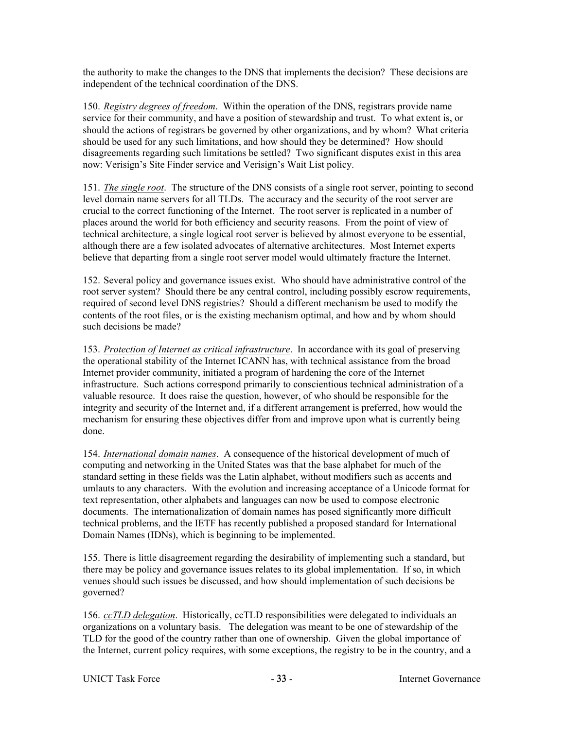the authority to make the changes to the DNS that implements the decision? These decisions are independent of the technical coordination of the DNS.

150. *Registry degrees of freedom*. Within the operation of the DNS, registrars provide name service for their community, and have a position of stewardship and trust. To what extent is, or should the actions of registrars be governed by other organizations, and by whom? What criteria should be used for any such limitations, and how should they be determined? How should disagreements regarding such limitations be settled? Two significant disputes exist in this area now: Verisign's Site Finder service and Verisign's Wait List policy.

151. *The single root*. The structure of the DNS consists of a single root server, pointing to second level domain name servers for all TLDs. The accuracy and the security of the root server are crucial to the correct functioning of the Internet. The root server is replicated in a number of places around the world for both efficiency and security reasons. From the point of view of technical architecture, a single logical root server is believed by almost everyone to be essential, although there are a few isolated advocates of alternative architectures. Most Internet experts believe that departing from a single root server model would ultimately fracture the Internet.

152. Several policy and governance issues exist. Who should have administrative control of the root server system? Should there be any central control, including possibly escrow requirements, required of second level DNS registries? Should a different mechanism be used to modify the contents of the root files, or is the existing mechanism optimal, and how and by whom should such decisions be made?

153. *Protection of Internet as critical infrastructure*. In accordance with its goal of preserving the operational stability of the Internet ICANN has, with technical assistance from the broad Internet provider community, initiated a program of hardening the core of the Internet infrastructure. Such actions correspond primarily to conscientious technical administration of a valuable resource. It does raise the question, however, of who should be responsible for the integrity and security of the Internet and, if a different arrangement is preferred, how would the mechanism for ensuring these objectives differ from and improve upon what is currently being done.

154. *International domain names*. A consequence of the historical development of much of computing and networking in the United States was that the base alphabet for much of the standard setting in these fields was the Latin alphabet, without modifiers such as accents and umlauts to any characters. With the evolution and increasing acceptance of a Unicode format for text representation, other alphabets and languages can now be used to compose electronic documents. The internationalization of domain names has posed significantly more difficult technical problems, and the IETF has recently published a proposed standard for International Domain Names (IDNs), which is beginning to be implemented.

155. There is little disagreement regarding the desirability of implementing such a standard, but there may be policy and governance issues relates to its global implementation. If so, in which venues should such issues be discussed, and how should implementation of such decisions be governed?

156. *ccTLD delegation*. Historically, ccTLD responsibilities were delegated to individuals an organizations on a voluntary basis. The delegation was meant to be one of stewardship of the TLD for the good of the country rather than one of ownership. Given the global importance of the Internet, current policy requires, with some exceptions, the registry to be in the country, and a